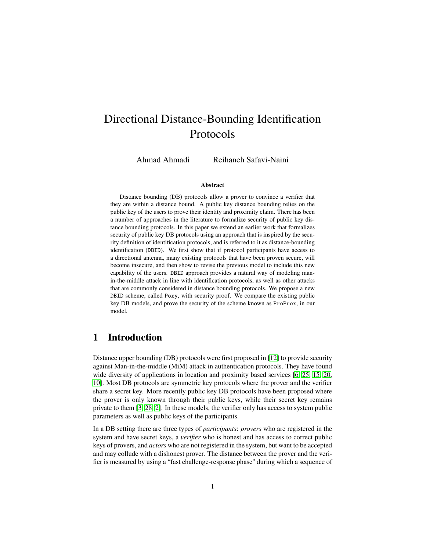# Directional Distance-Bounding Identification Protocols

Ahmad Ahmadi Reihaneh Safavi-Naini

#### Abstract

Distance bounding (DB) protocols allow a prover to convince a verifier that they are within a distance bound. A public key distance bounding relies on the public key of the users to prove their identity and proximity claim. There has been a number of approaches in the literature to formalize security of public key distance bounding protocols. In this paper we extend an earlier work that formalizes security of public key DB protocols using an approach that is inspired by the security definition of identification protocols, and is referred to it as distance-bounding identification (DBID). We first show that if protocol participants have access to a directional antenna, many existing protocols that have been proven secure, will become insecure, and then show to revise the previous model to include this new capability of the users. DBID approach provides a natural way of modeling manin-the-middle attack in line with identification protocols, as well as other attacks that are commonly considered in distance bounding protocols. We propose a new DBID scheme, called Poxy, with security proof. We compare the existing public key DB models, and prove the security of the scheme known as ProProx, in our model.

# 1 Introduction

Distance upper bounding (DB) protocols were first proposed in [\[12\]](#page-39-0) to provide security against Man-in-the-middle (MiM) attack in authentication protocols. They have found wide diversity of applications in location and proximity based services [\[6,](#page-39-1) [25,](#page-40-0) [15,](#page-39-2) [20,](#page-40-1) [10\]](#page-39-3). Most DB protocols are symmetric key protocols where the prover and the verifier share a secret key. More recently public key DB protocols have been proposed where the prover is only known through their public keys, while their secret key remains private to them [\[3,](#page-38-0) [28,](#page-40-2) [2\]](#page-38-1). In these models, the verifier only has access to system public parameters as well as public keys of the participants.

In a DB setting there are three types of *participants*: *provers* who are registered in the system and have secret keys, a *verifier* who is honest and has access to correct public keys of provers, and *actors* who are not registered in the system, but want to be accepted and may collude with a dishonest prover. The distance between the prover and the verifier is measured by using a "fast challenge-response phase" during which a sequence of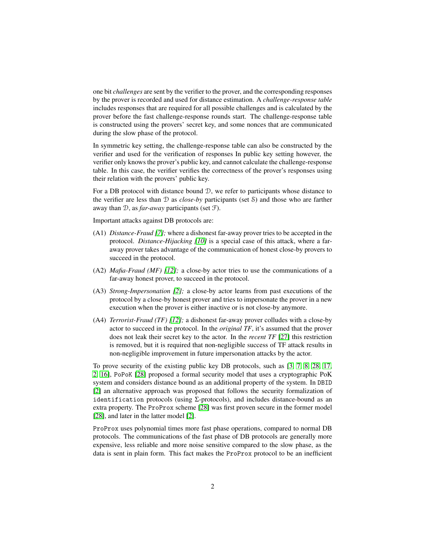one bit *challenges* are sent by the verifier to the prover, and the corresponding responses by the prover is recorded and used for distance estimation. A *challenge-response table* includes responses that are required for all possible challenges and is calculated by the prover before the fast challenge-response rounds start. The challenge-response table is constructed using the provers' secret key, and some nonces that are communicated during the slow phase of the protocol.

In symmetric key setting, the challenge-response table can also be constructed by the verifier and used for the verification of responses In public key setting however, the verifier only knows the prover's public key, and cannot calculate the challenge-response table. In this case, the verifier verifies the correctness of the prover's responses using their relation with the provers' public key.

For a DB protocol with distance bound D, we refer to participants whose distance to the verifier are less than D as *close-by* participants (set S) and those who are farther away than D, as *far-away* participants (set F).

Important attacks against DB protocols are:

- (A1) *Distance-Fraud [\[7\]](#page-39-4);* where a dishonest far-away prover tries to be accepted in the protocol. *Distance-Hijacking [\[10\]](#page-39-3)* is a special case of this attack, where a faraway prover takes advantage of the communication of honest close-by provers to succeed in the protocol.
- <span id="page-1-1"></span>(A2) *Mafia-Fraud (MF) [\[12\]](#page-39-0);* a close-by actor tries to use the communications of a far-away honest prover, to succeed in the protocol.
- <span id="page-1-2"></span>(A3) *Strong-Impersonation [\[2\]](#page-38-1);* a close-by actor learns from past executions of the protocol by a close-by honest prover and tries to impersonate the prover in a new execution when the prover is either inactive or is not close-by anymore.
- <span id="page-1-0"></span>(A4) *Terrorist-Fraud (TF) [\[12\]](#page-39-0);* a dishonest far-away prover colludes with a close-by actor to succeed in the protocol. In the *original TF*, it's assumed that the prover does not leak their secret key to the actor. In the *recent TF* [\[27\]](#page-40-3) this restriction is removed, but it is required that non-negligible success of TF attack results in non-negligible improvement in future impersonation attacks by the actor.

To prove security of the existing public key DB protocols, such as [\[3,](#page-38-0) [7,](#page-39-4) [8,](#page-39-5) [28,](#page-40-2) [17,](#page-39-6) [2,](#page-38-1) [16\]](#page-39-7), PoPoK [\[28\]](#page-40-2) proposed a formal security model that uses a cryptographic PoK system and considers distance bound as an additional property of the system. In DBID [\[2\]](#page-38-1) an alternative approach was proposed that follows the security formalization of identification protocols (using  $\Sigma$ -protocols), and includes distance-bound as an extra property. The ProProx scheme [\[28\]](#page-40-2) was first proven secure in the former model [\[28\]](#page-40-2), and later in the latter model [\[2\]](#page-38-1).

ProProx uses polynomial times more fast phase operations, compared to normal DB protocols. The communications of the fast phase of DB protocols are generally more expensive, less reliable and more noise sensitive compared to the slow phase, as the data is sent in plain form. This fact makes the ProProx protocol to be an inefficient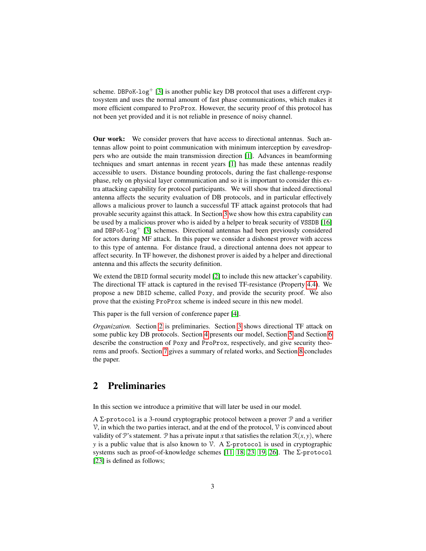scheme. DBPoK- $log$ <sup>+</sup> [\[3\]](#page-38-0) is another public key DB protocol that uses a different cryptosystem and uses the normal amount of fast phase communications, which makes it more efficient compared to ProProx. However, the security proof of this protocol has not been yet provided and it is not reliable in presence of noisy channel.

Our work: We consider provers that have access to directional antennas. Such antennas allow point to point communication with minimum interception by eavesdroppers who are outside the main transmission direction [\[1\]](#page-38-2). Advances in beamforming techniques and smart antennas in recent years [\[1\]](#page-38-2) has made these antennas readily accessible to users. Distance bounding protocols, during the fast challenge-response phase, rely on physical layer communication and so it is important to consider this extra attacking capability for protocol participants. We will show that indeed directional antenna affects the security evaluation of DB protocols, and in particular effectively allows a malicious prover to launch a successful TF attack against protocols that had provable security against this attack. In Section [3](#page-4-0) we show how this extra capability can be used by a malicious prover who is aided by a helper to break security of VSSDB [\[16\]](#page-39-7) and DBPoK- $log<sup>+</sup>$  [\[3\]](#page-38-0) schemes. Directional antennas had been previously considered for actors during MF attack. In this paper we consider a dishonest prover with access to this type of antenna. For distance fraud, a directional antenna does not appear to affect security. In TF however, the dishonest prover is aided by a helper and directional antenna and this affects the security definition.

We extend the DBID formal security model [\[2\]](#page-38-1) to include this new attacker's capability. The directional TF attack is captured in the revised TF-resistance (Property [4.4\)](#page-19-0). We propose a new DBID scheme, called Poxy, and provide the security proof. We also prove that the existing ProProx scheme is indeed secure in this new model.

This paper is the full version of conference paper [\[4\]](#page-38-3).

*Organization.* Section [2](#page-2-0) is preliminaries. Section [3](#page-4-0) shows directional TF attack on some public key DB protocols. Section [4](#page-11-0) presents our model, Section [5](#page-22-0) and Section [6](#page-30-0) describe the construction of Poxy and ProProx, respectively, and give security theorems and proofs. Section [7](#page-36-0) gives a summary of related works, and Section [8](#page-38-4) concludes the paper.

# <span id="page-2-0"></span>2 Preliminaries

In this section we introduce a primitive that will later be used in our model.

A Σ-protocol is a 3-round cryptographic protocol between a prover P and a verifier  $\mathcal V$ , in which the two parties interact, and at the end of the protocol,  $\mathcal V$  is convinced about validity of P's statement. P has a private input *x* that satisfies the relation  $\mathcal{R}(x, y)$ , where *y* is a public value that is also known to  $\mathcal V$ . A Σ-protocol is used in cryptographic systems such as proof-of-knowledge schemes [\[11,](#page-39-8) [18,](#page-39-9) [23,](#page-40-4) [19,](#page-40-5) [26\]](#page-40-6). The Σ-protocol [\[23\]](#page-40-4) is defined as follows;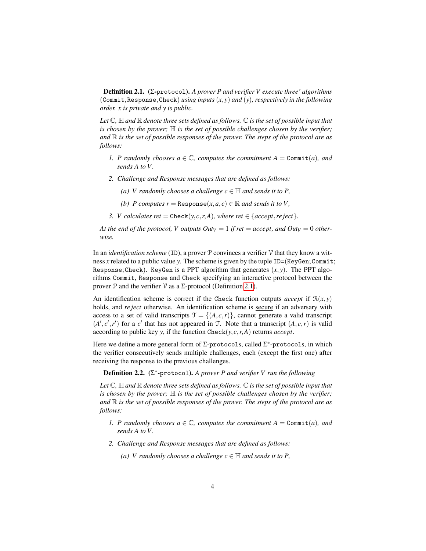<span id="page-3-0"></span>Definition 2.1. (Σ-protocol). *A prover P and verifier V execute three' algorithms* (Commit,Response,Check) *using inputs* (*x*, *y*) *and* (*y*)*, respectively in the following order. x is private and y is public.*

*Let* C*,* H *and* R *denote three sets defined as follows.* C *is the set of possible input that is chosen by the prover;* H *is the set of possible challenges chosen by the verifier; and* R *is the set of possible responses of the prover. The steps of the protocol are as follows:*

- *1. P* randomly chooses  $a \in \mathbb{C}$ , computes the commitment  $A = \text{Commit}(a)$ , and *sends A to V .*
- *2. Challenge and Response messages that are defined as follows:*
	- *(a) V* randomly chooses a challenge  $c \in \mathbb{H}$  and sends it to P,
	- *(b) P* computes  $r =$ Response $(x, a, c) \in \mathbb{R}$  and sends it to V,
- *3. V* calculates ret = Check(*y,c,r,A*)*, where ret*  $\in$  {*accept,re ject*}.

*At the end of the protocol, V outputs*  $Out_V = 1$  *if ret = accept, and*  $Out_V = 0$  *otherwise.*

In an *identification scheme* (ID), a prover P convinces a verifier V that they know a witness *x* related to a public value *y*. The scheme is given by the tuple ID=(KeyGen;Commit; Response; Check). KeyGen is a PPT algorithm that generates  $(x, y)$ . The PPT algorithms Commit, Response and Check specifying an interactive protocol between the prover  $\mathcal P$  and the verifier  $\mathcal V$  as a  $\Sigma$ -protocol (Definition [2.1\)](#page-3-0).

An identification scheme is <u>correct</u> if the Check function outputs *accept* if  $\mathcal{R}(x, y)$ holds, and *re ject* otherwise. An identification scheme is secure if an adversary with access to a set of valid transcripts  $\mathcal{T} = \{(A, c, r)\}\)$ , cannot generate a valid transcript  $(A', c', r')$  for a *c*' that has not appeared in T. Note that a transcript  $(A, c, r)$  is valid according to public key *y*, if the function  $\text{Check}(y, c, r, A)$  returns *accept*.

Here we define a more general form of  $\Sigma$ -protocols, called  $\Sigma^*$ -protocols, in which the verifier consecutively sends multiple challenges, each (except the first one) after receiving the response to the previous challenges.

<span id="page-3-1"></span>Definition 2.2. (Σ ∗ -protocol). *A prover P and verifier V run the following*

*Let*  $\mathbb C$ ,  $\mathbb H$  *and*  $\mathbb R$  *denote three sets defined as follows.*  $\mathbb C$  *is the set of possible input that is chosen by the prover;*  $\mathbb H$  *is the set of possible challenges chosen by the verifier; and* R *is the set of possible responses of the prover. The steps of the protocol are as follows:*

- *1. P* randomly chooses  $a \in \mathbb{C}$ , computes the commitment  $A = \text{Commit}(a)$ , and *sends A to V .*
- *2. Challenge and Response messages that are defined as follows:*
	- *(a) V* randomly chooses a challenge  $c \in \mathbb{H}$  and sends it to P,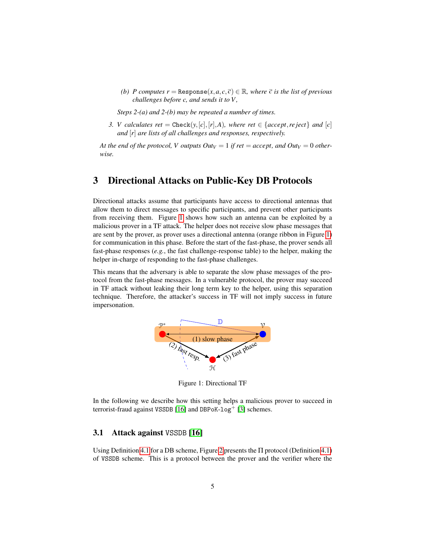*(b) P* computes  $r =$  Response $(x, a, c, \overline{c}) \in \mathbb{R}$ , where  $\overline{c}$  *is the list of previous challenges before c, and sends it to V ,*

*Steps 2-(a) and 2-(b) may be repeated a number of times.*

*3. V* calculates ret = Check(*y*,[*c*],[*r*],*A*)*, where ret*  $\in$  {*accept,re ject*} *and* [*c*] *and* [*r*] *are lists of all challenges and responses, respectively.*

*At the end of the protocol, V outputs*  $Out_V = 1$  *if ret = accept, and*  $Out_V = 0$  *otherwise.*

# <span id="page-4-0"></span>3 Directional Attacks on Public-Key DB Protocols

Directional attacks assume that participants have access to directional antennas that allow them to direct messages to specific participants, and prevent other participants from receiving them. Figure [1](#page-4-1) shows how such an antenna can be exploited by a malicious prover in a TF attack. The helper does not receive slow phase messages that are sent by the prover, as prover uses a directional antenna (orange ribbon in Figure [1\)](#page-4-1) for communication in this phase. Before the start of the fast-phase, the prover sends all fast-phase responses (*e.g.*, the fast challenge-response table) to the helper, making the helper in-charge of responding to the fast-phase challenges.

<span id="page-4-1"></span>This means that the adversary is able to separate the slow phase messages of the protocol from the fast-phase messages. In a vulnerable protocol, the prover may succeed in TF attack without leaking their long term key to the helper, using this separation technique. Therefore, the attacker's success in TF will not imply success in future impersonation.



Figure 1: Directional TF

In the following we describe how this setting helps a malicious prover to succeed in terrorist-fraud against VSSDB [\[16\]](#page-39-7) and DBPoK-log<sup>+</sup> [\[3\]](#page-38-0) schemes.

#### 3.1 Attack against VSSDB [\[16\]](#page-39-7)

Using Definition [4.1](#page-13-0) for a DB scheme, Figure [2](#page-6-0) presents the  $\Pi$  protocol (Definition [4.1\)](#page-13-0) of VSSDB scheme. This is a protocol between the prover and the verifier where the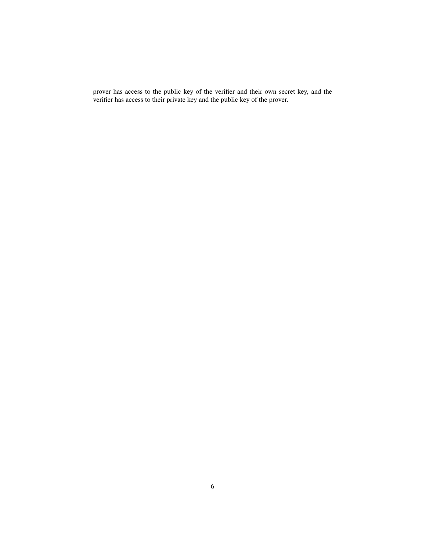prover has access to the public key of the verifier and their own secret key, and the verifier has access to their private key and the public key of the prover.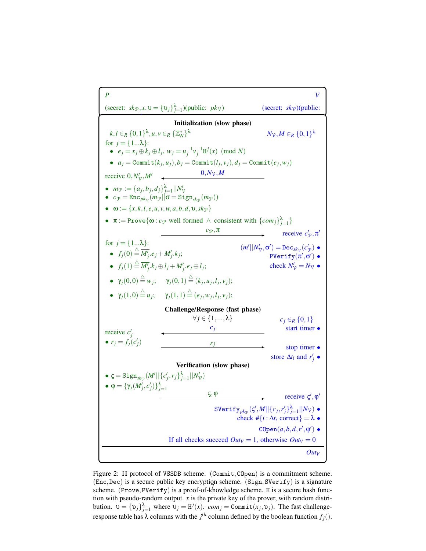<span id="page-6-0"></span>*P V* (secret:  $sk_{\mathcal{P}}$ ,  $x$ ,  $v = \{v_j\}_{j=1}^{\lambda}$ (secret:  $skv$ )(public: *pk*P,{*comj*} λ ) Initialization (slow phase)  $k, l \in_R \{0,1\}^{\lambda}, u, v \in_R \{\mathbb{Z}_N^*\}$  $N$ <sub>V</sub>,*M* ∈*R* {0,1}<sup>λ</sup> for  $j = \{1...\lambda\}$ : ■  $e_j = x_j \oplus k_j \oplus l_j, w_j = u_j^{-1} v_j^{-1} H^j(x) \pmod{N}$  $a_j = \text{Commit}(k_j, u_j), b_j = \text{Commit}(l_j, v_j), d_j = \text{Commit}(e_j, w_j)$ receive  $0, N'_{\gamma}, M'$   $\longrightarrow$   $0, N_{\gamma}, M$ •  $m_{\mathcal{P}} := \{a_j, b_j, d_j\}_{j=1}^{\lambda} ||N'_{\mathcal{V}}$ <br>•  $c_{\mathcal{P}} = \text{Enc}_{pk_{\mathcal{V}}}(m_{\mathcal{P}}||\mathbf{\sigma} = \text{Sign}_{sk_{\mathcal{P}}}(m_{\mathcal{P}}))$  $\bullet \quad \omega := \{x, k, l, e, u, v, w, a, b, d, v, sk_{\mathcal{P}}\}$ •  $\pi := \text{Prove}\{\omega : c_{\mathcal{P}} \text{ well formed } \wedge \text{ consistent with } \{com_j\}_{j=1}^{\lambda}\}\$  $c_\mathcal{P},\pi$ receive  $c'_{\mathcal{P}}, \pi'$  $(m'||N'_{\mathcal{V}}, \sigma') = \mathtt{Dec}_{\mathit{sk}_{\mathcal{V}}}(c'_{\mathcal{P}})$   $\bullet$  $\texttt{PVerify}(\pi', \sigma')$   $\bullet$ check  $N'_{\mathcal{V}} = N_{\mathcal{V}}$   $\bullet$ for  $j = \{1...\lambda\}$ : •  $f_j(0) \stackrel{\triangle}{=} \overline{M'_j}.e_j + M'_j.k_j;$  $\bullet$   $f_j(1) \stackrel{\triangle}{=} \overline{M'_j}.k_j \oplus l_j + M'_j.e_j \oplus l_j;$  $\bullet$   $\gamma_j(0,0) \stackrel{\triangle}{=} w_j; \quad \gamma_j(0,1) \stackrel{\triangle}{=} (k_j,u_j,l_j,v_j);$  $\bullet$   $\gamma_j(1,0) \stackrel{\triangle}{=} u_j; \quad \gamma_j(1,1) \stackrel{\triangle}{=} (e_j,w_j,l_j,v_j);$ Challenge/Response (fast phase)  $∀j ∈ {1, ..., λ}$   $c_j ∈_R {0, 1}$ *c<sup>j</sup>* start timer • receive  $c'_{j}$ •  $r_j = f_j(c'_j)$   $r_j$ stop timer • store  $\Delta t_i$  and  $r'_j$  • Verification (slow phase)  $\bullet \in$  Sign $_{sk_{\mathcal{P}}}(M'||{c'_j, r_j}_{j=1}^{\lambda}||N'_{\mathcal{V}})$ •  $φ = {γ<sub>j</sub>(M'_{j}, c'_{j})}^λ_{j=1}$  $\varsigma,$  φ receive  $\varsigma', \varphi'$  $\text{SVerify}_{pk_{\mathcal{P}}}(\zeta', M||\{c_j, r'_j\}_{j=1}^{\lambda}||N_{\mathcal{V}})$   $\bullet$ check  $\#\{i : \Delta t_i \text{ correct}\} = \lambda \bullet$  $\texttt{COpen}(a, b, d, r', \varphi')$   $\bullet$ If all checks succeed  $Out_V = 1$ , otherwise  $Out_V = 0$ *Out<sup>V</sup>*

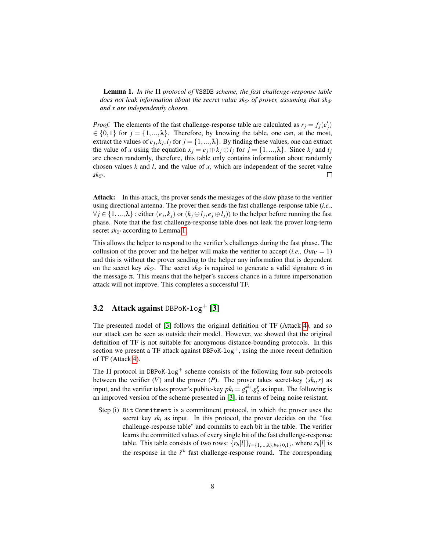<span id="page-7-0"></span>Lemma 1. *In the* Π *protocol of* VSSDB *scheme, the fast challenge-response table does not leak information about the secret value sk<sub>P</sub> of prover, assuming that sk<sub>P</sub> and x are independently chosen.*

*Proof.* The elements of the fast challenge-response table are calculated as  $r_j = f_j(c'_j)$  $\in \{0,1\}$  for  $j = \{1,..., \lambda\}$ . Therefore, by knowing the table, one can, at the most, extract the values of  $e_j, k_j, l_j$  for  $j = \{1, ..., \lambda\}$ . By finding these values, one can extract the value of *x* using the equation  $x_i = e_i \oplus k_i \oplus l_j$  for  $j = \{1, ..., \lambda\}$ . Since  $k_i$  and  $l_i$ are chosen randomly, therefore, this table only contains information about randomly chosen values *k* and *l*, and the value of *x*, which are independent of the secret value  $sk_{\mathcal{P}}$ .  $\Box$ 

Attack: In this attack, the prover sends the messages of the slow phase to the verifier using directional antenna. The prover then sends the fast challenge-response table (*i.e.*,  $\forall j \in \{1, ..., \lambda\}$ : either  $(e_j, k_j)$  or  $(k_j \oplus l_j, e_j \oplus l_j)$  to the helper before running the fast phase. Note that the fast challenge-response table does not leak the prover long-term secret  $sk_{\mathcal{P}}$  according to Lemma [1.](#page-7-0)

This allows the helper to respond to the verifier's challenges during the fast phase. The collusion of the prover and the helper will make the verifier to accept (*i.e.*,  $Out_V = 1$ ) and this is without the prover sending to the helper any information that is dependent on the secret key  $sk_{\mathcal{P}}$ . The secret  $sk_{\mathcal{P}}$  is required to generate a valid signature  $\sigma$  in the message  $\pi$ . This means that the helper's success chance in a future impersonation attack will not improve. This completes a successful TF.

## 3.2 Attack against DBPoK-log<sup>+</sup> [\[3\]](#page-38-0)

The presented model of [\[3\]](#page-38-0) follows the original definition of TF (Attack [4\)](#page-1-0), and so our attack can be seen as outside their model. However, we showed that the original definition of TF is not suitable for anonymous distance-bounding protocols. In this section we present a TF attack against DBPoK- $log<sup>+</sup>$ , using the more recent definition of TF (Attack [4\)](#page-1-0).

The  $\Pi$  protocol in DBPoK-log<sup>+</sup> scheme consists of the following four sub-protocols between the verifier  $(V)$  and the prover  $(P)$ . The prover takes secret-key  $(sk_i, r)$  as input, and the verifier takes prover's public-key  $pk_i = g_1^{sk_i} \cdot g_2^r$  as input. The following is an improved version of the scheme presented in [\[3\]](#page-38-0), in terms of being noise resistant.

Step (i) Bit Commitment is a commitment protocol, in which the prover uses the secret key  $sk_i$  as input. In this protocol, the prover decides on the "fast" challenge-response table" and commits to each bit in the table. The verifier learns the committed values of every single bit of the fast challenge-response table. This table consists of two rows:  $\{r_b[l]\}_{l=\{1,\dots,\lambda\}, b \in \{0,1\}}$ , where  $r_b[l]$  is the response in the *i th* fast challenge-response round. The corresponding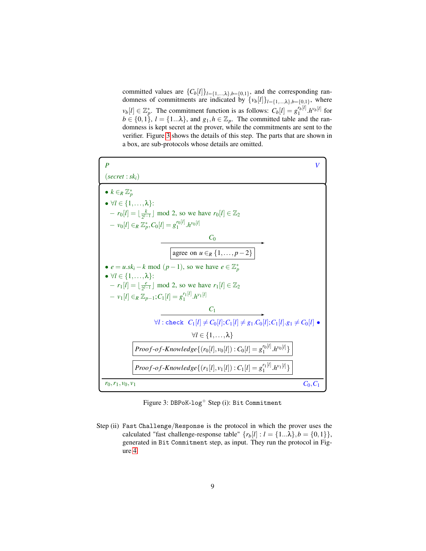committed values are  ${C_b[l]}_{l=\{1,\ldots,\lambda\},b=\{0,1\}}$ , and the corresponding randomness of commitments are indicated by  $\{v_b[l]\}_{l=\{1,\ldots,\lambda\},b=\{0,1\}}$ , where  $v_b[l] \in \mathbb{Z}_p^*$ . The commitment function is as follows:  $C_b[l] = g_1^{r_b[l]}$  $\int_1^{r_b[l]} h^{v_b[l]}$  for  $b \in \{0,1\}$ ,  $l = \{1...\lambda\}$ , and  $g_1, h \in \mathbb{Z}_p$ . The committed table and the randomness is kept secret at the prover, while the commitments are sent to the verifier. Figure [3](#page-8-0) shows the details of this step. The parts that are shown in a box, are sub-protocols whose details are omitted.

<span id="page-8-0"></span>

Figure 3: DBPoK-log<sup>+</sup> Step (i): Bit Commitment

Step (ii) Fast Challenge/Response is the protocol in which the prover uses the calculated "fast challenge-response table"  $\{r_b[l] : l = \{1...\lambda\}, b = \{0,1\}\},\$ generated in Bit Commitment step, as input. They run the protocol in Figure [4.](#page-9-0)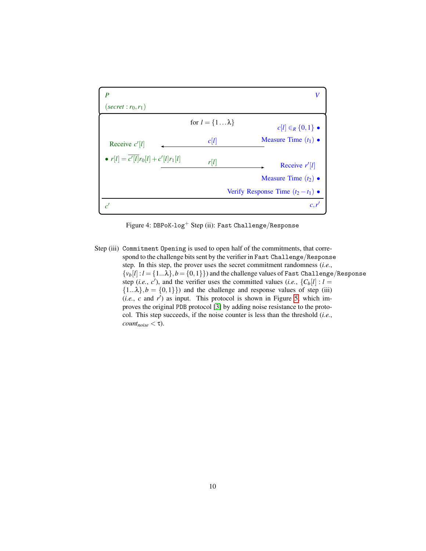<span id="page-9-0"></span>

Figure 4: DBPoK-log<sup>+</sup> Step (ii): Fast Challenge/Response

Step (iii) Commitment Opening is used to open half of the commitments, that correspond to the challenge bits sent by the verifier in Fast Challenge/Response step. In this step, the prover uses the secret commitment randomness (*i.e.*,  $\{v_b[l]: l = \{1...\lambda\}, b = \{0,1\}\}\$  and the challenge values of Fast Challenge/Response step (*i.e.*,  $c'$ ), and the verifier uses the committed values (*i.e.*,  ${C_b}[l]: l =$  ${1... \lambda}, b = {0,1}$  and the challenge and response values of step (iii)  $(i.e., c and r')$  as input. This protocol is shown in Figure [5,](#page-10-0) which improves the original PDB protocol [\[3\]](#page-38-0) by adding noise resistance to the protocol. This step succeeds, if the noise counter is less than the threshold (*i.e.*,  $count_{noise} < \tau$ ).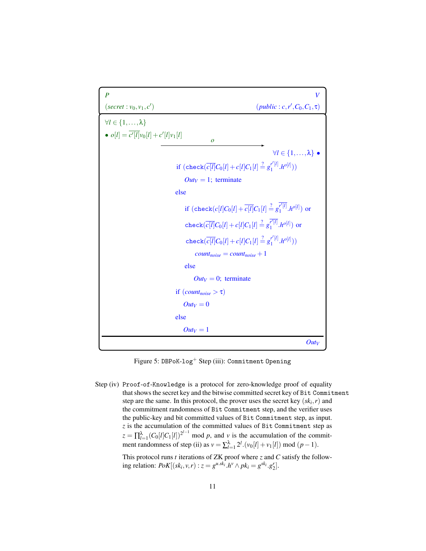```
P V
(\text{secret}: v_0, v_1, c')(public : c,r<sup>'</sup>, C<sub>0</sub>, C<sub>1</sub>, τ)
\forall l \in \{1, \ldots, \lambda\}• o[l] = \overline{c'[l]}v_0[l] + c'[l]v_1[l]o
                                                                                            ∀l ∈ {1,...,λ} •
                                        \mathrm{if}\,\, (\mathrm{check}(\overline{c[l]}C_0[l]+c[l]C_1[l]\stackrel{?}{=}g_1^{r'[l]}\binom{r'[l]}{1} \cdot h^{o[l]})
                                            Out_V = 1; terminate
                                      else
                                            \text{if} \,\, \text{(check}(c[l]C_0[l]+\overline{c[l]}C_1[l]\stackrel{?}{=} g_1^{\overline{r'[l]}}\int_{1}^{r}[l] h<sup>o[l]</sup>) or
                                            {\rm check}(\overline{c[l]}C_0[l]+c[l]C_1[l]\stackrel{?}{=}g_1^{\overline{r'[l]}}\binom{r'[l]}{1}.h^{o[l]}) or
                                             {\rm check}(\overline{c[l]}C_0[l]+c[l]C_1[l]\stackrel{?}{=}g_1^{r'[l]}\binom{r' [l]}{1} \cdot h^{o[l]})
                                                 count_{noise} = count_{noise} + 1else
                                                Out_V = 0; terminate
                                      if (count_{noise} > \tau)Out_V = 0else
                                           Out_V = 1OutV
```
Figure 5: DBPoK-log<sup>+</sup> Step (iii): Commitment Opening

Step (iv) Proof-of-Knowledge is a protocol for zero-knowledge proof of equality that shows the secret key and the bitwise committed secret key of Bit Commitment step are the same. In this protocol, the prover uses the secret key (*sk<sup>i</sup>* ,*r*) and the commitment randomness of Bit Commitment step, and the verifier uses the public-key and bit committed values of Bit Commitment step, as input. *z* is the accumulation of the committed values of Bit Commitment step as  $z = \prod_{l=1}^{\lambda} (C_0[l]C_1[l])^{2^{l-1}}$  mod *p*, and *v* is the accumulation of the commitment randomness of step (ii) as  $v = \sum_{l=1}^{\lambda} 2^l \cdot (v_0[l] + v_1[l]) \text{ mod } (p-1)$ .

This protocol runs *t* iterations of ZK proof where *z* and *C* satisfy the following relation:  $PoK[(sk_i, v, r) : z = g^{u, sk_i}.h^v \wedge pk_i = g^{sk_i}.g'_2].$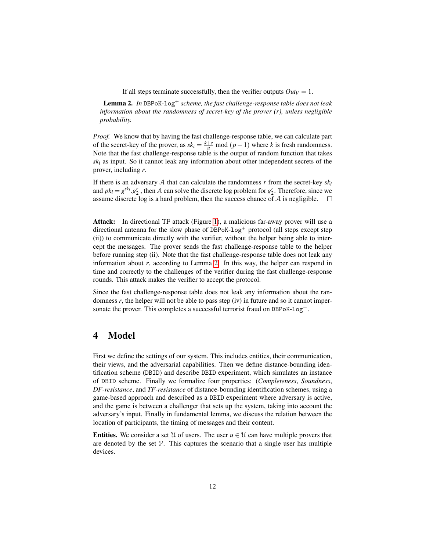If all steps terminate successfully, then the verifier outputs  $Out_V = 1$ .

<span id="page-11-1"></span>Lemma 2. *In* DBPoK-log<sup>+</sup> *scheme, the fast challenge-response table does not leak information about the randomness of secret-key of the prover (r), unless negligible probability.*

*Proof.* We know that by having the fast challenge-response table, we can calculate part of the secret-key of the prover, as  $sk_i = \frac{k+e}{u} \mod (p-1)$  where *k* is fresh randomness. Note that the fast challenge-response table is the output of random function that takes *sk<sup>i</sup>* as input. So it cannot leak any information about other independent secrets of the prover, including *r*.

If there is an adversary  $A$  that can calculate the randomness  $r$  from the secret-key  $sk_i$ and  $pk_i = g^{ski} \cdot g^r_2$ , then A can solve the discrete log problem for  $g^r_2$ . Therefore, since we assume discrete log is a hard problem, then the success chance of  $A$  is negligible.  $\square$ 

Attack: In directional TF attack (Figure [1\)](#page-4-1), a malicious far-away prover will use a directional antenna for the slow phase of DBPoK-log<sup>+</sup> protocol (all steps except step (ii)) to communicate directly with the verifier, without the helper being able to intercept the messages. The prover sends the fast challenge-response table to the helper before running step (ii). Note that the fast challenge-response table does not leak any information about *r*, according to Lemma [2.](#page-11-1) In this way, the helper can respond in time and correctly to the challenges of the verifier during the fast challenge-response rounds. This attack makes the verifier to accept the protocol.

Since the fast challenge-response table does not leak any information about the randomness  $r$ , the helper will not be able to pass step (iv) in future and so it cannot impersonate the prover. This completes a successful terrorist fraud on DBPoK-log<sup>+</sup>.

## <span id="page-11-0"></span>4 Model

First we define the settings of our system. This includes entities, their communication, their views, and the adversarial capabilities. Then we define distance-bounding identification scheme (DBID) and describe DBID experiment, which simulates an instance of DBID scheme. Finally we formalize four properties: (*Completeness*, *Soundness*, *DF-resistance*, and *TF-resistance* of distance-bounding identification schemes, using a game-based approach and described as a DBID experiment where adversary is active, and the game is between a challenger that sets up the system, taking into account the adversary's input. Finally in fundamental lemma, we discuss the relation between the location of participants, the timing of messages and their content.

**Entities.** We consider a set U of users. The user  $u \in U$  can have multiple provers that are denoted by the set P. This captures the scenario that a single user has multiple devices.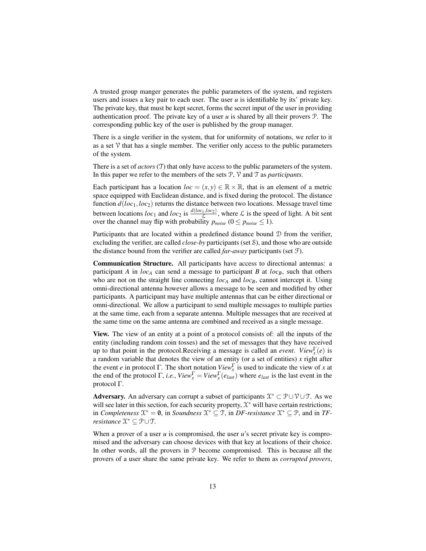A trusted group manger generates the public parameters of the system, and registers users and issues a key pair to each user. The user  $u$  is identifiable by its' private key. The private key, that must be kept secret, forms the secret input of the user in providing authentication proof. The private key of a user  $u$  is shared by all their provers  $\mathcal{P}$ . The corresponding public key of the user is published by the group manager.

There is a single verifier in the system, that for uniformity of notations, we refer to it as a set  $V$  that has a single member. The verifier only access to the public parameters of the system.

There is a set of *actors* (T) that only have access to the public parameters of the system. In this paper we refer to the members of the sets P, V and T as *participants.*

Each participant has a location  $loc = (x, y) \in \mathbb{R} \times \mathbb{R}$ , that is an element of a metric space equipped with Euclidean distance, and is fixed during the protocol. The distance function *d*(*loc*1,*loc*2) returns the distance between two locations. Message travel time between locations  $loc_1$  and  $loc_2$  is  $\frac{d(loc_1,loc_2)}{\mathcal{L}}$ , where  $\mathcal L$  is the speed of light. A bit sent over the channel may flip with probability  $p_{noise}$  ( $0 \le p_{noise} \le 1$ ).

Participants that are located within a predefined distance bound D from the verifier, excluding the verifier, are called *close-by* participants (set S), and those who are outside the distance bound from the verifier are called *far-away* participants (set F).

Communication Structure. All participants have access to directional antennas: a participant *A* in  $loc_A$  can send a message to participant *B* at  $loc_B$ , such that others who are not on the straight line connecting *loc<sub>A</sub>* and *loc<sub>B</sub>*, cannot intercept it. Using omni-directional antenna however allows a message to be seen and modified by other participants. A participant may have multiple antennas that can be either directional or omni-directional. We allow a participant to send multiple messages to multiple parties at the same time, each from a separate antenna. Multiple messages that are received at the same time on the same antenna are combined and received as a single message.

View. The view of an entity at a point of a protocol consists of: all the inputs of the entity (including random coin tosses) and the set of messages that they have received up to that point in the protocol.Receiving a message is called an *event. View*<sup> $\Gamma$ </sup><sub> $x$ </sub> (*e*) is a random variable that denotes the view of an entity (or a set of entities) *x* right after the event *e* in protocol Γ. The short notation  $View_x^{\Gamma}$  is used to indicate the view of *x* at the end of the protocol  $\Gamma$ , *i.e.*,  $View_x^{\Gamma} = View_x^{\Gamma}(e_{last})$  where  $e_{last}$  is the last event in the protocol Γ.

Adversary. An adversary can corrupt a subset of participants  $\mathcal{X}^* \subset \mathcal{P} \cup \mathcal{V} \cup \mathcal{T}$ . As we will see later in this section, for each security property,  $\mathfrak{X}^*$  will have certain restrictions; in *Completeness*  $\mathfrak{X}^* = \mathbf{0}$ , in *Soundness*  $\mathfrak{X}^* \subseteq \mathcal{T}$ , in *DF-resistance*  $\mathfrak{X}^* \subseteq \mathcal{P}$ , and in *TFresistance* X <sup>∗</sup> ⊆ P∪T.

When a prover of a user *u* is compromised, the user *u*'s secret private key is compromised and the adversary can choose devices with that key at locations of their choice. In other words, all the provers in  $P$  become compromised. This is because all the provers of a user share the same private key. We refer to them as *corrupted provers*,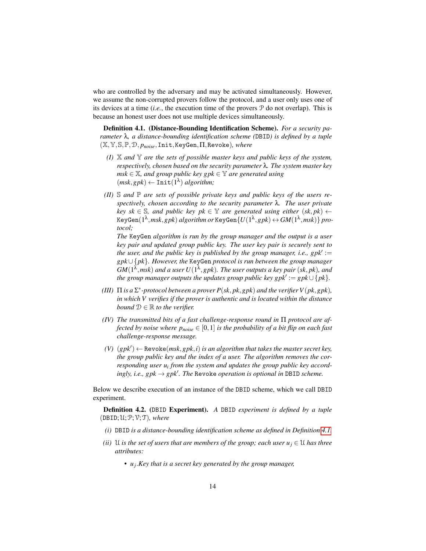who are controlled by the adversary and may be activated simultaneously. However, we assume the non-corrupted provers follow the protocol, and a user only uses one of its devices at a time (*i.e.*, the execution time of the provers P do not overlap). This is because an honest user does not use multiple devices simultaneously.

<span id="page-13-0"></span>Definition 4.1. (Distance-Bounding Identification Scheme). *For a security parameter* λ*, a distance-bounding identification scheme (*DBID*) is defined by a tuple* (X,Y,S,P,D, *pnoise*,Init,KeyGen,Π,Revoke)*, where*

- *(I)* X *and* Y *are the sets of possible master keys and public keys of the system, respectively, chosen based on the security parameter* λ*. The system master key*  $msk \in \mathbb{X}$ , and group public key gpk  $\in \mathbb{Y}$  are generated using  $(msk, gpk) \leftarrow \text{Init}(1^{\lambda})$  *algorithm*;
- *(II)* S *and* P *are sets of possible private keys and public keys of the users respectively, chosen according to the security parameter* λ*. The user private key sk*  $\in$  S, and public key pk  $\in$  Y are generated using either  $(sk, pk)$   $\leftarrow$  $\mathsf{KeyGen}(1^\lambda, msk, gpk) \ algorithm \ or \ \ \mathsf{KeyGen}\{U(1^\lambda, gpk) \leftrightarrow GM(1^\lambda, msk)\} \ proof$ *tocol;*

*The* KeyGen *algorithm is run by the group manager and the output is a user key pair and updated group public key. The user key pair is securely sent to* the user, and the public key is published by the group manager, *i.e.*,  $g p k' :=$ *gpk*∪ {*pk*}*. However, the* KeyGen *protocol is run between the group manager*  $GM(1^{\lambda},msk)$  and a user  $U(1^{\lambda},spk)$ . The user outputs a key pair (sk, pk), and  $the$  group manager outputs the updates group public key  $gpk' := gpk \cup \{pk\}$ .

- (III)  $\Pi$  *is a*  $\Sigma^*$ -protocol between a prover  $P(sk, pk, gpk)$  and the verifier  $V(pk, gpk)$ , *in which V verifies if the prover is authentic and is located within the distance bound*  $D \in \mathbb{R}$  *to the verifier.*
- *(IV) The transmitted bits of a fast challenge-response round in* Π *protocol are affected by noise where*  $p_{noise} \in [0,1]$  *is the probability of a bit flip on each fast challenge-response message.*
- $(V)$   $(gpk') \leftarrow$  Revoke $(msk, gpk, i)$  *is an algorithm that takes the master secret key, the group public key and the index of a user. The algorithm removes the cor*responding user u<sub>i</sub> from the system and updates the group public key accord $i$ *ngly, i.e.,*  $gpk \rightarrow gpk'$ *. The Revoke operation is optional in DBID scheme.*

Below we describe execution of an instance of the DBID scheme, which we call DBID experiment.

<span id="page-13-1"></span>Definition 4.2. (DBID Experiment). *A* DBID *experiment is defined by a tuple*  $(DBD; \mathcal{U}; \mathcal{P}; \mathcal{V}; \mathcal{T})$ *, where* 

- *(i)* DBID *is a distance-bounding identification scheme as defined in Definition [4.1.](#page-13-0)*
- *(ii)* U *is the set of users that are members of the group; each user*  $u_j \in U$  *has three attributes:*
	- *• u<sup>j</sup>* .*Key that is a secret key generated by the group manager,*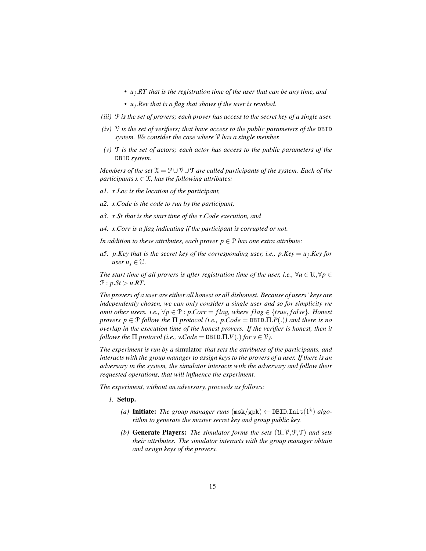- *• u<sup>j</sup>* .*RT that is the registration time of the user that can be any time, and*
- *• u<sup>j</sup>* .*Rev that is a flag that shows if the user is revoked.*
- *(iii)* P *is the set of provers; each prover has access to the secret key of a single user.*
- *(iv)* V *is the set of verifiers; that have access to the public parameters of the* DBID *system. We consider the case where* V *has a single member.*
- *(v)* T *is the set of actors; each actor has access to the public parameters of the* DBID *system.*

*Members of the set*  $\mathcal{X} = \mathcal{P} \cup \mathcal{V} \cup \mathcal{T}$  *are called participants of the system. Each of the participants*  $x \in \mathcal{X}$ *, has the following attributes:* 

- *a1. x*.*Loc is the location of the participant,*
- *a2. x*.*Code is the code to run by the participant,*
- *a3. x*.*St that is the start time of the x*.*Code execution, and*
- *a4. x*.*Corr is a flag indicating if the participant is corrupted or not.*

*In addition to these attributes, each prover*  $p \in \mathcal{P}$  *has one extra attribute:* 

*a5. p*.*Key that is the secret key of the corresponding user, i.e., p*.*Key* = *u<sup>j</sup>* .*Key for*  $user u_j \in \mathcal{U}$ .

*The start time of all provers is after registration time of the user, i.e.,*  $\forall u \in \mathcal{U}, \forall p \in \mathcal{U}$  $P: p.St > u.RT$ .

*The provers of a user are either all honest or all dishonest. Because of users' keys are independently chosen, we can only consider a single user and so for simplicity we omit other users. i.e.,*  $\forall p \in \mathcal{P}$ : *p.Corr* = *flag, where flag*  $\in \{true, false\}$ *. Honest provers p*  $\in \mathcal{P}$  *follow the*  $\Pi$  *protocol* (*i.e., p.Code* = DBID. $\Pi$ *.P(.))* and there is no *overlap in the execution time of the honest provers. If the verifier is honest, then it follows the*  $\Pi$  *protocol* (*i.e., v.Code* = DBID. $\Pi$ *.V*(*.) for*  $v \in \mathcal{V}$ *).* 

*The experiment is run by a* simulator *that sets the attributes of the participants, and interacts with the group manager to assign keys to the provers of a user. If there is an adversary in the system, the simulator interacts with the adversary and follow their requested operations, that will influence the experiment.*

*The experiment, without an adversary, proceeds as follows:*

- *1.* Setup.
	- (a) **Initiate:** *The group manager runs*  $(msk/gpk) \leftarrow \text{DBIDInit}(1^{\lambda}) \; algo$ *rithm to generate the master secret key and group public key.*
	- *(b)* Generate Players: *The simulator forms the sets* (U,V,P,T) *and sets their attributes. The simulator interacts with the group manager obtain and assign keys of the provers.*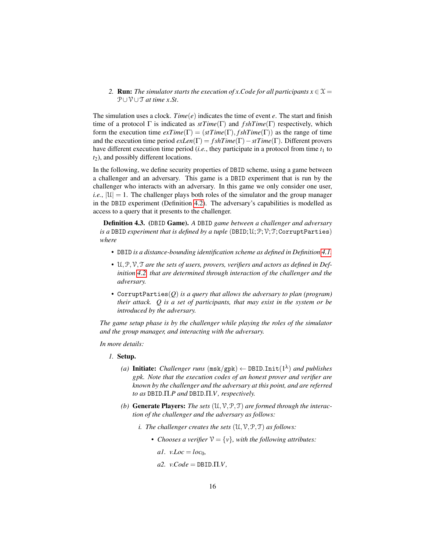2. **Run:** *The simulator starts the execution of x.Code for all participants*  $x \in \mathcal{X}$  = P∪V∪T *at time x*.*St.*

The simulation uses a clock. *Time*( $e$ ) indicates the time of event  $e$ . The start and finish time of a protocol  $\Gamma$  is indicated as  $stTime(\Gamma)$  and  $fshTime(\Gamma)$  respectively, which form the execution time  $exTime(\Gamma) = (stTime(\Gamma), fshTime(\Gamma))$  as the range of time and the execution time period *exLen*(Γ) = *f shTime*(Γ)−*stTime*(Γ). Different provers have different execution time period (*i.e.*, they participate in a protocol from time  $t_1$  to *t*<sub>2</sub>), and possibly different locations.

In the following, we define security properties of DBID scheme, using a game between a challenger and an adversary. This game is a DBID experiment that is run by the challenger who interacts with an adversary. In this game we only consider one user, *i.e.*,  $|\mathcal{U}| = 1$ . The challenger plays both roles of the simulator and the group manager in the DBID experiment (Definition [4.2\)](#page-13-1). The adversary's capabilities is modelled as access to a query that it presents to the challenger.

Definition 4.3. (DBID Game). *A* DBID *game between a challenger and adversary is a* DBID *experiment that is defined by a tuple* (DBID;  $\mathcal{U}; \mathcal{P}; \mathcal{V}; \mathcal{T};$  CorruptParties) *where*

- *•* DBID *is a distance-bounding identification scheme as defined in Definition [4.1.](#page-13-0)*
- U, P, V, T are the sets of users, provers, verifiers and actors as defined in Def*inition [4.2,](#page-13-1) that are determined through interaction of the challenger and the adversary.*
- *•* CorruptParties(*Q*) *is a query that allows the adversary to plan (program) their attack. Q is a set of participants, that may exist in the system or be introduced by the adversary.*

*The game setup phase is by the challenger while playing the roles of the simulator and the group manager, and interacting with the adversary.*

*In more details:*

- *1.* Setup.
	- (a) **Initiate:** Challenger runs  $(\text{msk/gpk}) \leftarrow \text{DBID}.\text{Init}(1^\lambda)$  and publishes *gpk. Note that the execution codes of an honest prover and verifier are known by the challenger and the adversary at this point, and are referred to as* DBID.Π.*P and* DBID.Π.*V , respectively.*
	- *(b)* Generate Players: *The sets* (U,V,P,T) *are formed through the interaction of the challenger and the adversary as follows:*
		- *i. The challenger creates the sets*  $(U, V, P, T)$  *as follows:* 
			- *Chooses a verifier*  $V = \{v\}$ *, with the following attributes:* 
				- $a1.$   $v.$ *Loc* =  $loc_0$ ,
				- $a2.$  *v*.*Code* = DBID. $\Pi$ *.V*.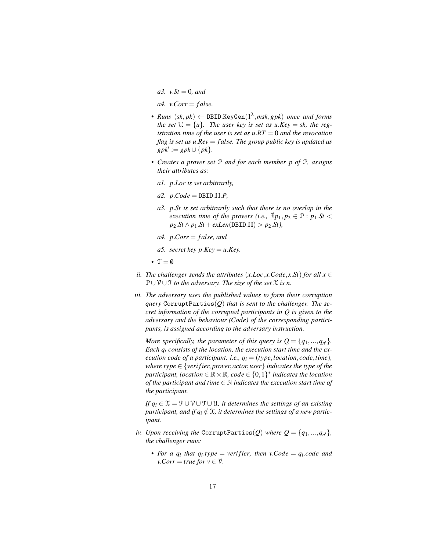*a3. v.St* = 0*, and* 

 $a4.$  *v*.*Corr* = *false.* 

- *• Runs* (*sk*, *pk*) ← DBID.KeyGen(1 λ ,*msk*,*gpk*) *once and forms the set*  $\mathcal{U} = \{u\}$ *. The user key is set as u.Key = sk, the registration time of the user is set as u*.*RT* = 0 *and the revocation flag is set as u*.*Rev* = *f alse. The group public key is updated as*  $gpk' := gpk \cup \{pk\}.$
- *• Creates a prover set* P *and for each member p of* P*, assigns their attributes as:*
	- *a1. p*.*Loc is set arbitrarily,*
	- $a2. p. Code = DBID. \Pi.P$
	- *a3. p*.*St is set arbitrarily such that there is no overlap in the execution time of the provers (i.e.,*  $\nexists p_1, p_2 \in \mathcal{P} : p_1 \cdot St$  $p_2$ *.St*  $\land$   $p_1$ *.St* + *exLen*(DBID. $\Pi$ ) >  $p_2$ *.St*),
	- *a4. p*.*Corr* = *f alse, and*
	- *a5. secret key*  $p$ *.Key* = *u.Key*.
- $\mathcal{T} = \emptyset$
- *ii. The challenger sends the attributes*  $(x.Loc, x. Code, x.St)$  *for all*  $x \in$ P∪V∪T *to the adversary. The size of the set* X *is n.*
- *iii. The adversary uses the published values to form their corruption query* CorruptParties(*Q*) *that is sent to the challenger. The secret information of the corrupted participants in Q is given to the adversary and the behaviour (Code) of the corresponding participants, is assigned according to the adversary instruction.*

*More specifically, the parameter of this query is*  $Q = \{q_1, ..., q_{n'}\}.$ *Each q<sup>i</sup> consists of the location, the execution start time and the execution code of a participant. i.e.,*  $q_i = (type, location, code, time)$ *, where type* ∈ {*veri fier*, *prover*,*actor*,*user*} *indicates the type of the*  ${\it partition}($ ,  ${{location}} \in \mathbb{R} \times \mathbb{R}$ ,  ${{\it code}} \in \{0,1\}^*$  *indicates the location of the participant and time* ∈ N *indicates the execution start time of the participant.*

*If*  $q_i \in \mathcal{X} = \mathcal{P} \cup \mathcal{V} \cup \mathcal{T} \cup \mathcal{U}$ , it determines the settings of an existing *participant, and if*  $q_i \notin \mathcal{X}$ *, it determines the settings of a new participant.*

- *iv.* Upon receiving the <code>CorruptParties( $Q$ )</code> where  $Q = \{q_1, ..., q_{n'}\}$ , *the challenger runs:*
	- *For a*  $q_i$  *that*  $q_i$ *,type* = *verifier, then v.Code* =  $q_i$ *code and v*.*Corr* = *true for*  $v \in V$ *.*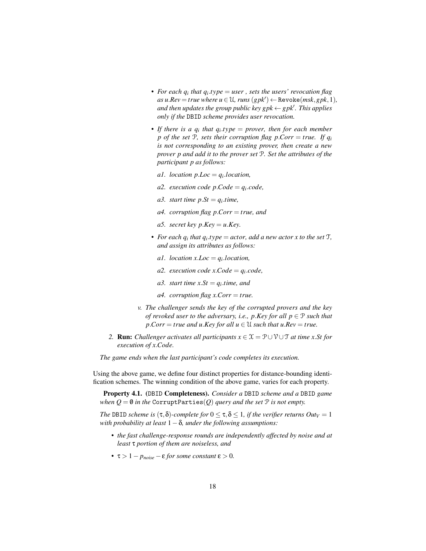- *• For each q<sup>i</sup> that q<sup>i</sup>* .*type* = *user , sets the users' revocation flag*  $as u. Rev = true$  where  $u \in U$ , runs  $(gpk') \leftarrow$  Revoke $(msk, gpk, 1)$ *, and then updates the group public key gpk* ← *gpk<sup>1</sup>*. This applies *only if the* DBID *scheme provides user revocation.*
- *• If there is a q<sup>i</sup> that q<sup>i</sup>* .*type* = *prover, then for each member p* of the set P, sets their corruption flag p. Corr = true. If  $q_i$ *is not corresponding to an existing prover, then create a new prover p and add it to the prover set* P*. Set the attributes of the participant p as follows:*
	- *a1. location p*.*Loc* = *q<sup>i</sup>* .*location,*
	- *a2. execution code p*.*Code* = *q<sup>i</sup>* .*code,*
	- *a3. start time*  $pSt = q_i.time$ ,
	- *a4. corruption flag p*.*Corr* = *true, and*
	- *a5. secret key*  $p$ *.Key* = *u.Key*.
- For each  $q_i$  that  $q_i$  *type* = *actor, add a new actor x to the set*  $\mathcal{T}$ *, and assign its attributes as follows:*
	- *a1. location*  $x$ *.Loc* =  $q_i$ *.location,*
	- *a2. execution code*  $x.Code = q_i.code$ ,
	- *a3. start time*  $xSt = q_i.time$ , and
	- *a4. corruption flag x*.*Corr* = *true.*
- *v. The challenger sends the key of the corrupted provers and the key of revoked user to the adversary, i.e., p.Key for all*  $p \in \mathcal{P}$  *such that p*. *Corr* = *true* and *u*. *Key for all*  $u \in \mathcal{U}$  *such that*  $u$ *. Rev* = *true.*
- 2. **Run:** *Challenger activates all participants*  $x \in \mathcal{X} = \mathcal{P} \cup \mathcal{V} \cup \mathcal{T}$  *at time x.St for execution of x*.*Code.*

*The game ends when the last participant's code completes its execution.*

Using the above game, we define four distinct properties for distance-bounding identification schemes. The winning condition of the above game, varies for each property.

Property 4.1. (DBID Completeness). *Consider a* DBID *scheme and a* DBID *game when*  $Q = \emptyset$  *in the* CorruptParties(*Q*) *query and the set*  $P$  *is not empty.* 

*The* DBID *scheme is*  $(\tau, \delta)$ -*complete for*  $0 \leq \tau, \delta \leq 1$ *, if the verifier returns OutV* = 1 *with probability at least* 1−δ*, under the following assumptions:*

- *• the fast challenge-response rounds are independently affected by noise and at least* τ *portion of them are noiseless, and*
- *•* τ > 1− *pnoise* −ε *for some constant* ε > 0*.*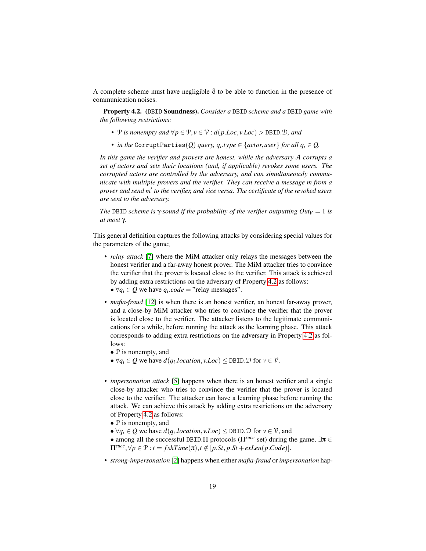A complete scheme must have negligible  $\delta$  to be able to function in the presence of communication noises.

<span id="page-18-0"></span>Property 4.2. (DBID Soundness). *Consider a* DBID *scheme and a* DBID *game with the following restrictions:*

- *•*  $P$  *is nonempty and*  $∀p ∈ P, v ∈ V : d(p. Loc, v. Loc) > DBD.D, and$
- *in the* CorruptParties $(Q)$  *query,*  $q_i.type \in \{actor, user\}$  *for all*  $q_i \in Q$ *.*

*In this game the verifier and provers are honest, while the adversary* A *corrupts a set of actors and sets their locations (and, if applicable) revokes some users. The corrupted actors are controlled by the adversary, and can simultaneously communicate with multiple provers and the verifier. They can receive a message m from a* prover and send m<sup>1</sup> to the verifier, and vice versa. The certificate of the revoked users *are sent to the adversary.*

*The* DBID *scheme is*  $\gamma$ *-sound if the probability of the verifier outputting Out* $V = 1$  *is at most* γ*.*

This general definition captures the following attacks by considering special values for the parameters of the game;

- *relay attack* [\[7\]](#page-39-4) where the MiM attacker only relays the messages between the honest verifier and a far-away honest prover. The MiM attacker tries to convince the verifier that the prover is located close to the verifier. This attack is achieved by adding extra restrictions on the adversary of Property [4.2](#page-18-0) as follows:
	- $\forall q_i \in Q$  we have  $q_i \cdot code$  = "relay messages".
- *mafia-fraud* [\[12\]](#page-39-0) is when there is an honest verifier, an honest far-away prover, and a close-by MiM attacker who tries to convince the verifier that the prover is located close to the verifier. The attacker listens to the legitimate communications for a while, before running the attack as the learning phase. This attack corresponds to adding extra restrictions on the adversary in Property [4.2](#page-18-0) as follows:
	- P is nonempty, and
	- $\forall q_i \in Q$  we have  $d(q_i, location, v. Loc) \leq \text{DBID}.\mathcal{D}$  for  $v \in \mathcal{V}$ .
- *impersonation attack* [\[5\]](#page-39-10) happens when there is an honest verifier and a single close-by attacker who tries to convince the verifier that the prover is located close to the verifier. The attacker can have a learning phase before running the attack. We can achieve this attack by adding extra restrictions on the adversary of Property [4.2](#page-18-0) as follows:
	- $\mathcal P$  is nonempty, and
	- $\forall q_i \in Q$  we have  $d(q_i \cdot location, v \cdot Loc) \leq \text{DBID} \cdot \mathcal{D}$  for  $v \in \mathcal{V}$ , and
	- among all the successful DBID.Π protocols (Π*succ* set) during the game, ∃π ∈  $\Pi^{succ}, \forall p \in \mathcal{P} : t = fshTime(\pi), t \notin [p.St, p.St + exLen(p.Code)].$
- *strong-impersonation* [\[2\]](#page-38-1) happens when either *mafia-fraud* or *impersonation* hap-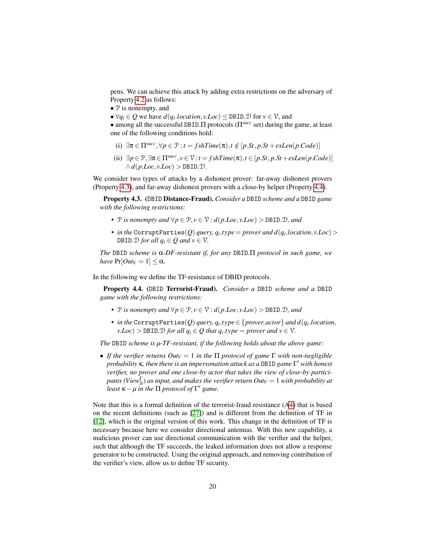pens. We can achieve this attack by adding extra restrictions on the adversary of Property [4.2](#page-18-0) as follows:

- $\mathcal P$  is nonempty, and
- $\forall q_i \in Q$  we have  $d(q_i \cdot location, v \cdot Loc) \leq \text{DBID} \cdot \text{D}$  for  $v \in V$ , and

• among all the successful DBID.Π protocols (Π*succ* set) during the game, at least one of the following conditions hold:

- (i)  $\exists \pi \in \Pi^{succ}, \forall p \in \mathcal{P} : t = fshTime(\pi), t \notin [p.St, p.St + exLen(p.Code)]$
- (ii) ∃*p* ∈ P,∃π ∈ Π*succ* , *v* ∈ V : *t* = *f shTime*(π),*t* ∈ [*p*.*St*, *p*.*St*+*exLen*(*p*.*Code*)]  $\wedge d(p.Loc, v. Loc) > \text{DBID}.\mathcal{D}.$

We consider two types of attacks by a dishonest prover: far-away dishonest provers (Property [4.3\)](#page-19-1), and far-away dishonest provers with a close-by helper (Property [4.4\)](#page-19-0).

<span id="page-19-1"></span>Property 4.3. (DBID Distance-Fraud). *Consider a* DBID *scheme and a* DBID *game with the following restrictions:*

- *•* P *is nonempty and* ∀*p* ∈ P, *v* ∈ V : *d*(*p*.*Loc*, *v*.*Loc*) > DBID.D*, and*
- *in the* <code>CorruptParties(*Q*) *query, <code>q</code><sub>i</sub>.type = prover and <code>d(* $q$ *</code><sub>i</sub>.location,v.Loc) ></code>* DBID.  $\mathcal{D}$  *for all*  $q_i \in Q$  *and*  $v \in \mathcal{V}$ *.*

*The* DBID *scheme is* α*-DF-resistant if, for any* DBID.Π *protocol in such game, we have*  $Pr[Out_V = 1] < \alpha$ *.* 

In the following we define the TF-resistance of DBID protocols.

<span id="page-19-0"></span>Property 4.4. (DBID Terrorist-Fraud). *Consider a* DBID *scheme and a* DBID *game with the following restrictions:*

- *•*  $\mathcal{P}$  *is nonempty and*  $\forall p \in \mathcal{P}, v \in \mathcal{V}$ : *d*( $p. Loc, v. Loc$ ) > DBID. *D*, *and*
- *in the* <code>CorruptParties(*Q*) *query, <code>q</code><sub>i</sub>.type*  $\in$  *{ prover, actor} and <code>d(* $q$ *</sup><sub>i</sub>.location,*</code></code> *<i>Loc*) > DBID. $D$  *for all*  $q_i \in Q$  *that*  $q_i$ *,type* = *prover and*  $v \in V$ *.*

*The* DBID *scheme is µ-TF-resistant, if the following holds about the above game:*

• *If the verifier returns Out*<sub>*V*</sub> = 1 *in the*  $\Pi$  *protocol of game*  $\Gamma$  *with non-negligible probability* κ*, then there is an impersonation attack as a* DBID *game* Γ <sup>0</sup> *with honest verifier, no prover and one close-by actor that takes the view of close-by participants (View*<sup>Γ</sup> S *) as input, and makes the verifier return Out<sup>V</sup>* = 1 *with probability at least*  $\kappa - \mu$  *in the*  $\Pi$  *protocol of*  $\Gamma'$  *game.* 

Note that this is a formal definition of the terrorist-fraud resistance ([A4\)](#page-1-0) that is based on the recent definitions (such as [\[27\]](#page-40-3)) and is different from the definition of TF in [\[12\]](#page-39-0), which is the original version of this work. This change in the definition of TF is necessary because here we consider directional antennas. With this new capability, a malicious prover can use directional communication with the verifier and the helper, such that although the TF succeeds, the leaked information does not allow a response generator to be constructed. Using the original approach, and removing contribution of the verifier's view, allow us to define TF security.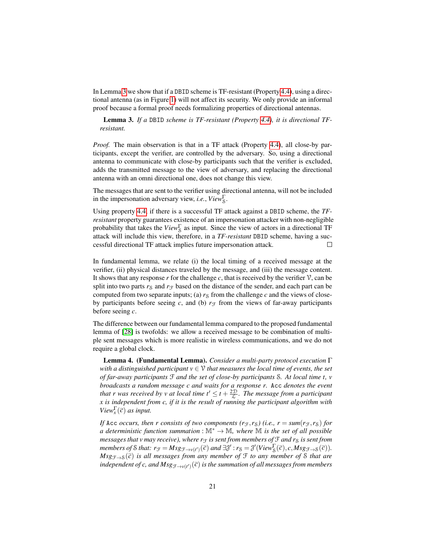In Lemma [3](#page-20-0) we show that if a DBID scheme is TF-resistant (Property [4.4\)](#page-19-0), using a directional antenna (as in Figure [1\)](#page-4-1) will not affect its security. We only provide an informal proof because a formal proof needs formalizing properties of directional antennas.

<span id="page-20-0"></span>Lemma 3. *If a* DBID *scheme is TF-resistant (Property [4.4\)](#page-19-0), it is directional TFresistant.*

*Proof.* The main observation is that in a TF attack (Property [4.4\)](#page-19-0), all close-by participants, except the verifier, are controlled by the adversary. So, using a directional antenna to communicate with close-by participants such that the verifier is excluded, adds the transmitted message to the view of adversary, and replacing the directional antenna with an omni directional one, does not change this view.

The messages that are sent to the verifier using directional antenna, will not be included in the impersonation adversary view, *i.e.*, *View*<sup>Γ</sup><sub>S</sub>.

Using property [4.4,](#page-19-0) if there is a successful TF attack against a DBID scheme, the *TFresistant* property guarantees existence of an impersonation attacker with non-negligible probability that takes the *View*<sup>Γ</sup> S as input. Since the view of actors in a directional TF attack will include this view, therefore, in a *TF-resistant* DBID scheme, having a successful directional TF attack implies future impersonation attack.  $\Box$ 

In fundamental lemma, we relate (i) the local timing of a received message at the verifier, (ii) physical distances traveled by the message, and (iii) the message content. It shows that any response  $r$  for the challenge  $c$ , that is received by the verifier  $\mathcal{V}$ , can be split into two parts  $r_S$  and  $r_F$  based on the distance of the sender, and each part can be computed from two separate inputs; (a)  $r<sub>S</sub>$  from the challenge *c* and the views of closeby participants before seeing c, and (b)  $r_F$  from the views of far-away participants before seeing *c*.

The difference between our fundamental lemma compared to the proposed fundamental lemma of [\[28\]](#page-40-2) is twofolds: we allow a received message to be combination of multiple sent messages which is more realistic in wireless communications, and we do not require a global clock.

<span id="page-20-1"></span>Lemma 4. (Fundamental Lemma). *Consider a multi-party protocol execution* Γ *with a distinguished participant*  $v \in V$  *that measures the local time of events, the set of far-away participants* F *and the set of close-by participants* S*. At local time t, v broadcasts a random message c and waits for a response r.* Acc *denotes the event that r was received by v at local time t'*  $\leq t + \frac{2D}{L}$ *. The message from a participant x is independent from c, if it is the result of running the participant algorithm with View*<sup> $\Gamma$ </sup><sub> $(\bar{c})$ </sub> *as input.* 

*If* Acc *occurs, then r consists of two components (r<sub>F</sub>,r<sub>S</sub>) (i.e., r = <i>sum(r<sub>F</sub>,r<sub>S</sub>) for a deterministic function summation* : M<sup>∗</sup> → M*, where* M *is the set of all possible messages that v may receive), where*  $r<sub>F</sub>$  *is sent from members of*  $F$  *and r<sub>S</sub> is sent from*  $m$ embers of  $\mathcal{S}$  that:  $r_{\mathcal{F}} = Msg_{\mathcal{F} \to v(t')}(\vec{c})$  and  $\exists \mathcal{J}' : r_{\mathcal{S}} = \mathcal{J}'(View_{\mathcal{S}}^{\Gamma}(\vec{c}), c, Msg_{\mathcal{F} \to \mathcal{S}}(\vec{c})).$  $Msg_{\mathcal{F}\rightarrow\mathcal{S}}(\overline{c})$  *is all messages from any member of*  $\mathcal F$  *to any member of*  $\mathcal S$  *that are* independent of  $c$ , and  $\overline{Msg}_{\mathcal{F}\rightarrow v(t') }(\vec{c})$  is the summation of all messages from members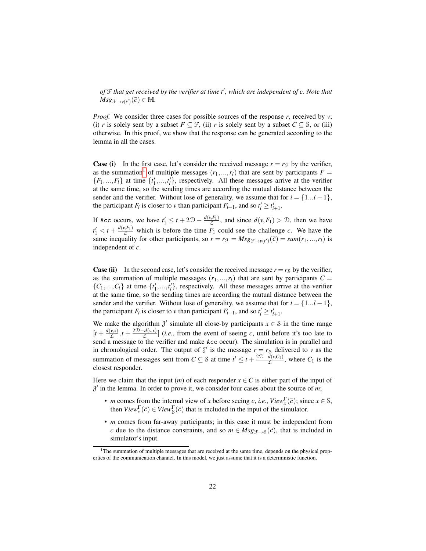of  $\mathfrak f$  that get received by the verifier at time t<sup>*l*</sup>, which are independent of c. Note that  $Msg_{\mathcal{F}\to v(t')}(\vec{c}) \in \mathbb{M}.$ 

*Proof.* We consider three cases for possible sources of the response *r*, received by *v*; (i) *r* is solely sent by a subset  $F \subseteq \mathcal{F}$ , (ii) *r* is solely sent by a subset  $C \subseteq \mathcal{S}$ , or (iii) otherwise. In this proof, we show that the response can be generated according to the lemma in all the cases.

**Case (i)** In the first case, let's consider the received message  $r = r_f$  by the verifier, as the summation<sup>[1](#page-21-0)</sup> of multiple messages  $(r_1,...,r_l)$  that are sent by participants  $F =$  $\{F_1, ..., F_l\}$  at time  $\{t'_1, ..., t'_l\}$ , respectively. All these messages arrive at the verifier at the same time, so the sending times are according the mutual distance between the sender and the verifier. Without lose of generality, we assume that for  $i = \{1...l - 1\}$ , the participant *F<sub>i</sub>* is closer to *v* than participant *F<sub>i+1</sub>*, and so  $t'_i \geq t'_{i+1}$ .

If Acc occurs, we have  $t'_1 \leq t + 2\mathcal{D} - \frac{d(v,F_1)}{\mathcal{L}}$ , and since  $d(v,F_1) > \mathcal{D}$ , then we have  $t'_1 < t + \frac{d(v, F_1)}{L}$  which is before the time  $F_1$  could see the challenge *c*. We have the same inequality for other participants, so  $r = r_f = Msg_{f \to v(t')}(\vec{c}) = \text{sum}(r_1, ..., r_l)$  is independent of *c*.

**Case (ii)** In the second case, let's consider the received message  $r = r_S$  by the verifier, as the summation of multiple messages  $(r_1,...,r_l)$  that are sent by participants  $C =$  $\{C_1, ..., C_l\}$  at time  $\{t'_1, ..., t'_l\}$ , respectively. All these messages arrive at the verifier at the same time, so the sending times are according the mutual distance between the sender and the verifier. Without lose of generality, we assume that for  $i = \{1...l - 1\}$ , the participant *F<sub>i</sub>* is closer to *v* than participant *F<sub>i+1</sub>*, and so  $t'_i \geq t'_{i+1}$ .

We make the algorithm  $\mathcal{J}'$  simulate all close-by participants  $x \in \mathcal{S}$  in the time range  $[t + \frac{d(v,x)}{f}]$  $\frac{L(x,x)}{L}$ ,  $t + \frac{2D-d(v,x)}{L}$  $\left[\frac{a(v,x)}{c}\right]$  (*i.e.*, from the event of seeing *c*, until before it's too late to send a message to the verifier and make Acc occur). The simulation is in parallel and in chronological order. The output of  $\mathcal{J}'$  is the message  $r = r_S$  delivered to *v* as the summation of messages sent from  $C \subseteq S$  at time  $t' \leq t + \frac{2D-d(v,C_1)}{L}$ , where  $C_1$  is the closest responder.

Here we claim that the input  $(m)$  of each responder  $x \in C$  is either part of the input of J 0 in the lemma. In order to prove it, we consider four cases about the source of *m*;

- *m* comes from the internal view of *x* before seeing *c*, *i.e.*,  $View_x^{\Gamma}(\overline{c})$ ; since  $x \in \mathcal{S}$ , then  $View_x^{\Gamma}(\overline{c}) \in View_s^{\Gamma}(\overline{c})$  that is included in the input of the simulator.
- *m* comes from far-away participants; in this case it must be independent from *c* due to the distance constraints, and so  $m \in Msg_{\mathcal{F}\to S}(\overline{c})$ , that is included in simulator's input.

<span id="page-21-0"></span><sup>&</sup>lt;sup>1</sup>The summation of multiple messages that are received at the same time, depends on the physical properties of the communication channel. In this model, we just assume that it is a deterministic function.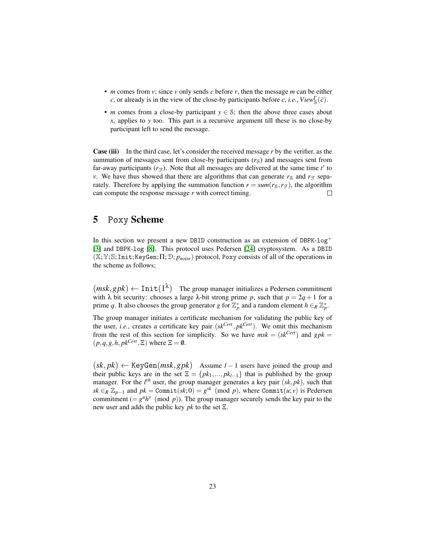- *m* comes from *v*; since *v* only sends *c* before *r*, then the message *m* can be either *c*, or already is in the view of the close-by participants before *c*, *i.e.*,  $View_{S}^{\Gamma}(\overline{c})$ .
- *m* comes from a close-by participant  $y \in S$ ; then the above three cases about *x*, applies to *y* too. This part is a recursive argument till these is no close-by participant left to send the message.

Case (iii) In the third case, let's consider the received message *r* by the verifier, as the summation of messages sent from close-by participants  $(r<sub>S</sub>)$  and messages sent from far-away participants  $(r_f)$ . Note that all messages are delivered at the same time  $t'$  to *v*. We have thus showed that there are algorithms that can generate  $r_S$  and  $r_F$  separately. Therefore by applying the summation function  $r = \text{sum}(r_{\rm S}, r_{\rm T})$ , the algorithm can compute the response message *r* with correct timing.  $\Box$ 

## <span id="page-22-0"></span>5 Poxy Scheme

In this section we present a new DBID construction as an extension of DBPK-log<sup>+</sup> [\[3\]](#page-38-0) and DBPK-log [\[8\]](#page-39-5). This protocol uses Pedersen [\[24\]](#page-40-7) cryptosystem. As a DBID (X;Y;S;Init;KeyGen;Π;D; *pnoise*) protocol, Poxy consists of all of the operations in the scheme as follows;

 $(msk, gpk) \leftarrow \text{Init}(1^{\lambda})$  The group manager initializes a Pedersen commitment with  $\lambda$  bit security: chooses a large  $\lambda$ -bit strong prime p, such that  $p = 2q + 1$  for a prime q. It also chooses the group generator g for  $\mathbb{Z}_p^*$  and a random element  $h \in_R \mathbb{Z}_p^*$ .

The group manager initiates a certificate mechanism for validating the public key of the user, *i.e.*, creates a certificate key pair (*skCert* , *pkCert*). We omit this mechanism from the rest of this section for simplicity. So we have  $msk = (sk^{Cert}})$  and  $gpk =$  $(p, q, g, h, pk^{Cert}}, \Xi)$  where  $\Xi = \emptyset$ .

 $(k, pk) \leftarrow \text{KeyGen}(msk, gpk)$  Assume *l* − 1 users have joined the group and their public keys are in the set  $\Xi = \{pk_1, ..., pk_{l-1}\}\$  that is published by the group manager. For the  $l^{th}$  user, the group manager generates a key pair  $(sk, pk)$ , such that *sk* ∈*R*  $\mathbb{Z}_{p-1}$  and  $pk = \text{Commit}(sk; 0) = g^{sk} \pmod{p}$ , where Commit $(u; v)$  is Pedersen commitment  $(= g<sup>u</sup>h<sup>v</sup> \pmod{p}$ . The group manager securely sends the key pair to the new user and adds the public key *pk* to the set Ξ.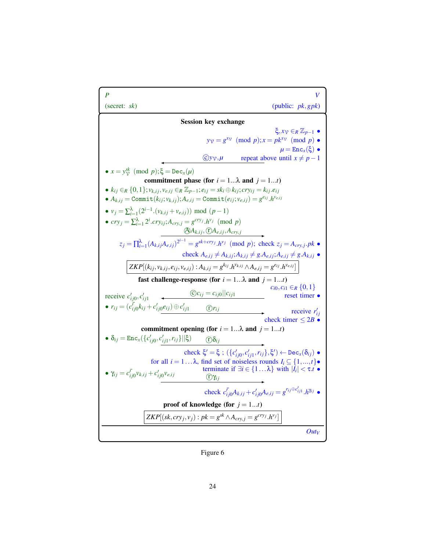<span id="page-23-0"></span>

Figure 6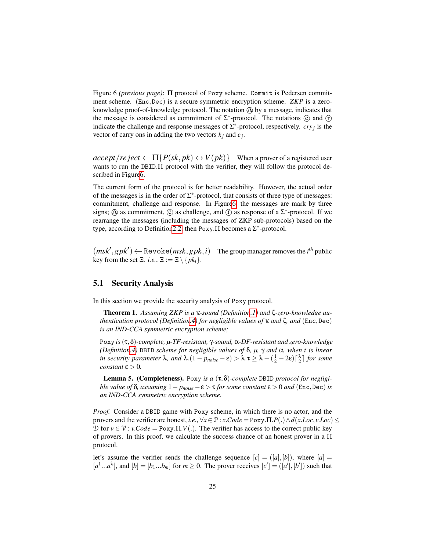Figure 6 *(previous page)*: Π protocol of Poxy scheme. Commit is Pedersen commitment scheme. (Enc,Dec) is a secure symmetric encryption scheme. *ZKP* is a zeroknowledge proof-of-knowledge protocol. The notation A by a message, indicates that the message is considered as commitment of  $\Sigma^*$ -protocol. The notations  $\odot$  and  $\odot$ indicate the challenge and response messages of  $\Sigma^*$ -protocol, respectively. *cry<sub>j</sub>* is the vector of carry ons in adding the two vectors  $k_j$  and  $e_j$ .

 $\text{accept}/\text{re}\text{ject} \leftarrow \Pi\{P(\text{sk}, \text{pk}) \leftrightarrow V(\text{pk})\}$  When a prover of a registered user wants to run the DBID.Π protocol with the verifier, they will follow the protocol described in Figur[e6.](#page-23-0)

The current form of the protocol is for better readability. However, the actual order of the messages is in the order of  $\Sigma^*$ -protocol, that consists of three type of messages: commitment, challenge and response. In Figur[e6,](#page-23-0) the messages are mark by three signs;  $\textcircled{A}$  as commitment,  $\textcircled{c}$  as challenge, and  $\textcircled{r}$  as response of a  $\Sigma^*$ -protocol. If we rearrange the messages (including the messages of ZKP sub-protocols) based on the type, according to Definition 2.2, then Poxy.  $\Pi$  becomes a  $\Sigma^*$ -protocol.

 $(msk', gpk') \leftarrow \text{Revol}(msk, gpk, i)$  The group manager removes the *i*<sup>th</sup> public key from the set  $\Xi$ . *i.e.*,  $\Xi := \Xi \setminus \{pk_i\}.$ 

## 5.1 Security Analysis

In this section we provide the security analysis of Poxy protocol.

Theorem 1. *Assuming ZKP is a* κ*-sound (Definitio[n.1\)](#page-40-8) and* ζ*-zero-knowledge authentication protocol (Definitio[n.4\)](#page-41-0) for negligible values of* κ *and* ζ*, and* (Enc,Dec) *is an IND-CCA symmetric encryption scheme;*

Poxy *is*(τ,δ)*-complete, µ-TF-resistant,* γ*-sound,* α*-DF-resistant and zero-knowledge (Definitio[n.4\)](#page-41-0)* DBID *scheme for negligible values of* δ*, µ,* γ *and* α*, when t is linear in security parameter*  $\lambda$ , and  $\lambda$ . $(1 - p_{noise} - \varepsilon) > \lambda \cdot \tau \geq \lambda - (\frac{1}{2} - 2\varepsilon) \lceil \frac{\lambda}{2} \rceil$  for some *constant*  $\varepsilon > 0$ *.* 

Lemma 5. (Completeness). Poxy *is a* (τ,δ)*-complete* DBID *protocol for negligible value of*  $\delta$ *, assuming*  $1 - p_{noise} - \epsilon > \tau$  *for some constant*  $\epsilon > 0$  *and* (Enc,Dec) *is an IND-CCA symmetric encryption scheme.*

*Proof.* Consider a DBID game with Poxy scheme, in which there is no actor, and the provers and the verifier are honest, *i.e.*,  $\forall x \in \mathcal{P}$  :  $x.Code = \text{Poxy}.\Pi.P(.) \land d(x.Loc, v.Loc) \le$ D for *v* ∈ V : *v*.*Code* = Poxy.Π.*V*(.). The verifier has access to the correct public key of provers. In this proof, we calculate the success chance of an honest prover in a Π protocol.

let's assume the verifier sends the challenge sequence  $[c] = ([a], [b])$ , where  $[a] =$  $[a^1...a^\lambda]$ , and  $[b] = [b_1...b_m]$  for  $m \ge 0$ . The prover receives  $[c'] = ([a'], [b'])$  such that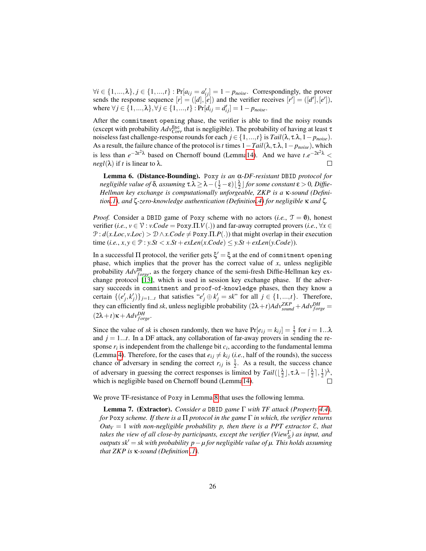$\forall i \in \{1, ..., \lambda\}, j \in \{1, ..., t\}$ :  $\Pr[a_{ij} = a'_{ij}] = 1 - p_{noise}$ . Correspondingly, the prover sends the response sequence  $[r] = ([d], [e])$  and the verifier receives  $[r'] = ([d'], [e'])$ , where  $\forall j$  ∈ {1, ..., λ},  $\forall j$  ∈ {1, ..., *t*} : Pr[ $d_{ij} = d'_{ij}$ ] = 1 − *p*<sub>noise</sub>.

After the commitment opening phase, the verifier is able to find the noisy rounds (except with probability  $Adv_{Corr}^{Enc}$  that is negligible). The probability of having at least  $\tau$ noiseless fast challenge-response rounds for each  $j \in \{1, ..., t\}$  is  $Tail(\lambda, \tau.\lambda, 1 - p_{noise}).$ As a result, the failure chance of the protocol is*t* times 1−*Tail*(λ, τ.λ,1− *pnoise*), which is less than  $e^{-2\epsilon^2 \lambda}$  based on Chernoff bound (Lemm[a14\)](#page-41-1). And we have  $t.e^{-2\epsilon^2 \lambda}$  < *negl*( $\lambda$ ) if *t* is linear to  $\lambda$ .  $\Box$ 

Lemma 6. (Distance-Bounding). Poxy *is an* α*-DF-resistant* DBID *protocol for negligible value of*  $\delta$ *, assuming*  $\tau.\lambda \ge \lambda - (\frac{1}{2} - \varepsilon) \lfloor \frac{\lambda}{2} \rfloor$  for some constant  $\varepsilon > 0$ *, Diffie-Hellman key exchange is computationally unforgeable, ZKP is a* κ*-sound (Definitio[n.1\)](#page-40-8), and* ζ*-zero-knowledge authentication (Definitio[n.4\)](#page-41-0) for negligible* κ *and* ζ*.*

*Proof.* Consider a DBID game of Poxy scheme with no actors (*i.e.*,  $\mathcal{T} = \mathbf{0}$ ), honest verifier (*i.e.*,  $v \in \mathcal{V}$  : *v.Code* = Poxy. $\Pi.V(.)$ ) and far-away corrupted provers (*i.e.*,  $\forall x \in$  $\mathcal{P}: d(x, Loc, v, Loc) > \mathcal{D} \wedge x. Code \neq \text{Poxy.}\Pi.P(.)$  that might overlap in their execution time  $(i.e., x, y \in \mathcal{P} : y.St < x.St + exLen(x.Code) \leq y.St + exLen(y.Code)$ .

In a successful  $\Pi$  protocol, the verifier gets  $\xi' = \xi$  at the end of commitment opening phase, which implies that the prover has the correct value of *x*, unless negligible probability  $Adv_{forge}^{DH}$ , as the forgery chance of the semi-fresh Diffie-Hellman key exchange protocol [\[13\]](#page-39-11), which is used in session key exchange phase. If the adversary succeeds in commitment and proof-of-knowledge phases, then they know a certain  $\{(e'_j, k'_j)\}_{j=1...t}$  that satisfies " $e'_j \oplus k'_j = sk$ " for all  $j \in \{1,...,t\}$ . Therefore, they can efficiently find *sk*, unless negligible probability  $(2\lambda + t)Adv_{sound}^{ZKP} + Adv_{forget}^{DH}$  $(2\lambda+t)\kappa+A d\nu_{forge}^{DH}$ .

Since the value of *sk* is chosen randomly, then we have  $Pr[e_{ij} = k_{ij}] = \frac{1}{2}$  for  $i = 1...\lambda$ and  $j = 1...t$ . In a DF attack, any collaboration of far-away provers in sending the response  $r_i$  is independent from the challenge bit  $c_i$ , according to the fundamental lemma (Lemma [4\)](#page-20-1). Therefore, for the cases that  $e_{ij} \neq k_{ij}$  (*i.e.*, half of the rounds), the success chance of adversary in sending the correct  $r_{ij}$  is  $\frac{1}{2}$ . As a result, the success chance of adversary in guessing the correct responses is limited by  $Tail(\lfloor \frac{\lambda}{2} \rfloor, \tau.\lambda - \lceil \frac{\lambda}{2} \rceil, \frac{1}{2})^{\lambda}$ ,  $\Box$ which is negligible based on Chernoff bound (Lemm[a14\)](#page-41-1).

We prove TF-resistance of Poxy in Lemma [8](#page-28-0) that uses the following lemma.

<span id="page-25-0"></span>Lemma 7. (Extractor). *Consider a* DBID *game* Γ *with TF attack (Property [4.4\)](#page-19-0), for* Poxy *scheme. If there is a* Π *protocol in the game* Γ *in which, the verifier returns*  $Out_V = 1$  with non-negligible probability p, then there is a PPT extractor  $\mathcal{E}$ , that *takes the view of all close-by participants, except the verifier (View*<sub>S</sub>) as input, and *outputs sk<sup>* $′$ *</sup> = <i>sk with probability p* − *µ for negligible value of µ. This holds assuming that ZKP is* κ*-sound (Definition [.1\)](#page-40-8).*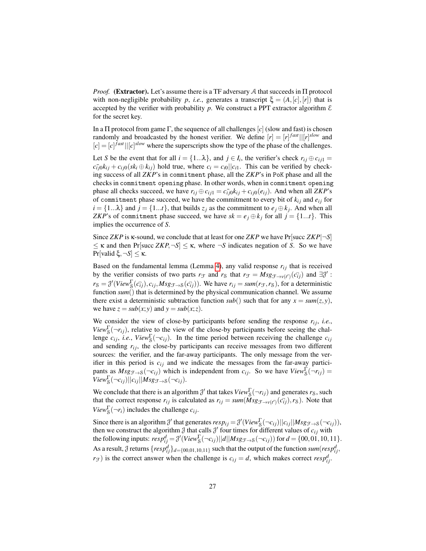*Proof.* (Extractor). Let's assume there is a TF adversary A that succeeds in  $\Pi$  protocol with non-negligible probability *p*, *i.e.*, generates a transcript  $\xi = (A, [c], [r])$  that is accepted by the verifier with probability *p*. We construct a PPT extractor algorithm  $\epsilon$ for the secret key.

In a  $\Pi$  protocol from game  $\Gamma$ , the sequence of all challenges  $[c]$  (slow and fast) is chosen randomly and broadcasted by the honest verifier. We define  $[r] = [r]^{fast} | [[r]^{slow}$  and  $[c] = [c]$ <sup>*fast*</sup> $||[c]$ <sup>*slow*</sup> where the superscripts show the type of the phase of the challenges.

Let *S* be the event that for all  $i = \{1...\lambda\}$ , and  $j \in I_i$ , the verifier's check  $r_{ij} \oplus c_{ij1} =$  $c_{ij0}c_{ij} + c_{ij0}(sk_i \oplus k_{ij})$  hold true, where  $c_i = c_{i0}||c_{i1}$ . This can be verified by checking success of all *ZKP*'s in commitment phase, all the *ZKP*'s in PoK phase and all the checks in commitment opening phase. In other words, when in commitment opening phase all checks succeed, we have  $r_{ij} \oplus c_{ij1} = c_{ij0} \cdot k_{ij} + c_{ij0} \cdot (e_{ij})$ . And when all *ZKP*'s of commitment phase succeed, we have the commitment to every bit of  $k_{ij}$  and  $e_{ij}$  for  $i = \{1...\lambda\}$  and  $j = \{1...t\}$ , that builds  $z_j$  as the commitment to  $e_j \oplus k_j$ . And when all *ZKP*'s of commitment phase succeed, we have  $sk = e_j \oplus k_j$  for all  $j = \{1...t\}$ . This implies the occurrence of *S*.

Since *ZKP* is κ-sound, we conclude that at least for one *ZKP* we have Pr[succ *ZKP*|¬*S*]  $\leq$  **K** and then Pr[succ *ZKP*,  $\neg S$ ]  $\leq$  **K**, where  $\neg S$  indicates negation of *S*. So we have Pr[valid ξ,¬*S*] ≤ κ.

Based on the fundamental lemma (Lemma [4\)](#page-20-1), any valid response  $r_{ij}$  that is received by the verifier consists of two parts  $r_F$  and  $r_S$  that  $r_F = Msg_{\mathcal{F} \to \nu(t')}(c_{ij})$  and  $\exists \mathcal{J}'$ :  $r_S = \mathcal{J}'(View_S^{\Gamma}(c_{ij}), c_{ij}, Msg_{\mathcal{F}\rightarrow S}(c_{ij})).$  We have  $r_{ij} = sum(r_{\mathcal{F}}, r_S)$ , for a deterministic function *sum*() that is determined by the physical communication channel. We assume there exist a deterministic subtraction function  $sub()$  such that for any  $x = sum(z, y)$ , we have  $z = sub(x; y)$  and  $y = sub(x; z)$ .

We consider the view of close-by participants before sending the response  $r_{ij}$ , *i.e.*, *View*<sub>S</sub> $(\neg r_{ij})$ , relative to the view of the close-by participants before seeing the challenge  $c_{ij}$ , *i.e.*,  $View_{\mathcal{S}}^{\Gamma}(\neg c_{ij})$ . In the time period between receiving the challenge  $c_{ij}$ and sending  $r_i$ , the close-by participants can receive messages from two different sources: the verifier, and the far-away participants. The only message from the verifier in this period is  $c_{ij}$  and we indicate the messages from the far-away participants as  $Msg_{\mathcal{F}\to\mathcal{S}}(\neg c_{ij})$  which is independent from  $c_{ij}$ . So we have  $View_{\mathcal{S}}^{\Gamma}(\neg r_{ij})$  =  $View_{\mathcal{S}}^{\Gamma}(\neg c_{ij})||c_{ij}||Msg_{\mathcal{F}\rightarrow\mathcal{S}}(\neg c_{ij}).$ 

We conclude that there is an algorithm  $\mathcal{J}'$  that takes  $View_S^{\Gamma}(\neg r_{ij})$  and generates  $r_S$ , such that the correct response  $r_{ij}$  is calculated as  $r_{ij} = \text{sum}(Msg_{\mathcal{F}\to v(t')}(c_{ij}^{\cdot}), r_{\mathcal{S}})$ . Note that *View*<sub>S</sub> $(\neg r_i)$  includes the challenge  $c_{ij}$ .

Since there is an algorithm  $\mathcal{J}'$  that generates  $resp_{ij} = \mathcal{J}'(View_S^{\Gamma}(\neg c_{ij})||c_{ij}||Msg_{\mathcal{F}\rightarrow\mathcal{S}}(\neg c_{ij})),$ then we construct the algorithm  $\beta$  that calls  $\beta'$  four times for different values of  $c_{ij}$  with the following inputs:  $resp_{ij}^d = \frac{\partial'}{(View_S^{\Gamma}(\neg c_{ij})||d||Msg_{\mathcal{F} \rightarrow S}(\neg c_{ij}))}$  for  $d = \{00,01,10,11\}.$ As a result,  $\mathcal{J}$  returns  $\{resp_{ij}^d\}_{d=\{00,01,10,11\}}$  such that the output of the function  $sum(resp_{ij}^d)$ ,  $r_{\mathcal{F}}$ ) is the correct answer when the challenge is  $c_{ij} = d$ , which makes correct  $resp_{ij}^d$ .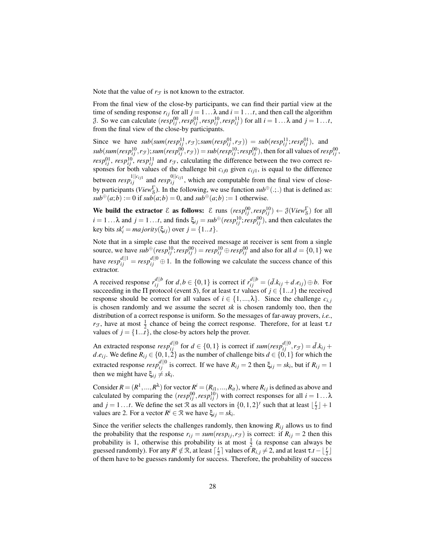Note that the value of  $r_F$  is not known to the extractor.

From the final view of the close-by participants, we can find their partial view at the time of sending response  $r_{ij}$  for all  $j = 1 \dots \lambda$  and  $i = 1 \dots t$ , and then call the algorithm  $\beta$ . So we can calculate  $(resp_{ij}^{00}, resp_{ij}^{01}, resp_{ij}^{10}, resp_{ij}^{11})$  for all  $i = 1... \lambda$  and  $j = 1...t$ , from the final view of the close-by participants.

Since we have  $sub(sum(resp_{ij}^{11}, r_{\mathcal{F}}); sum(resp_{ij}^{01}, r_{\mathcal{F}})) = sub(resp_{ij}^{11}; resp_{ij}^{01}),$  and  $sub(sum(resp^{10}_{ij},r_{\mathcal{F}});sum(resp^{00}_{ij},r_{\mathcal{F}}))=sub(resp^{10}_{ij};resp^{00}_{ij}),$  then for all values of  $resp^{00}_{ij},$ *resp*<sup>01</sup>, *resp*<sup>10</sup>, *resp*<sup>11</sup></sup>, *and r<sub>T</sub>*, calculating the difference between the two correct responses for both values of the challenge bit  $c_{ij0}$  given  $c_{ij1}$ , is equal to the difference between  $resp_{ij}^{1||c_{ij1}}$  and  $resp_{ij}^{0||c_{ij1}}$ , which are computable from the final view of closeby participants (*View*<sup>Γ</sup> S ). In the following, we use function *sub*⊕(.;.) that is defined as:  $sub<sup>\oplus</sup>(a;b) := 0$  if  $sub(a;b) = 0$ , and  $sub<sup>\oplus</sup>(a;b) := 1$  otherwise.

We build the extractor  $\mathcal E$  as follows:  $\mathcal E$  runs  $(resp_{ij}^{00}, resp_{ij}^{10}) \leftarrow \mathcal J(View_8^{\Gamma})$  for all  $i = 1... \lambda$  and  $j = 1...t$ , and finds  $\xi_{ij} = sub^{\oplus}(resp_{ij}^{10}; resp_{ij}^{00})$ , and then calculates the  $key \text{ bits } sk_i' = majority(\xi_{ij}) \text{ over } j = \{1...t\}.$ 

Note that in a simple case that the received message at receiver is sent from a single source, we have  $sub^{\oplus}(resp_{ij}^{10}; resp_{ij}^{00}) = resp_{ij}^{10} \oplus resp_{ij}^{00}$  and also for all  $d = \{0, 1\}$  we have  $resp_{ij}^{\{d\}} = resp_{ij}^{\{d\}} \oplus 1$ . In the following we calculate the success chance of this extractor.

A received response  $r_{ij}^{d||b}$  for  $d, b \in \{0, 1\}$  is correct if  $r_{ij}^{d||b} = (\bar{d}.k_{ij} + d.e_{ij}) \oplus b$ . For succeeding in the  $\Pi$  protocol (event *S*), for at least  $\tau$ .*t* values of  $j \in \{1...t\}$  the received response should be correct for all values of  $i \in \{1, ..., \lambda\}$ . Since the challenge  $c_{i,i}$ is chosen randomly and we assume the secret *sk* is chosen randomly too, then the distribution of a correct response is uniform. So the messages of far-away provers, *i.e.*, *r*<sub>F</sub>, have at most  $\frac{1}{2}$  chance of being the correct response. Therefore, for at least  $\tau$ .*t* values of  $j = \{1...t\}$ , the close-by actors help the prover.

An extracted response  $resp_{ij}^{d||0}$  for  $d \in \{0,1\}$  is correct if  $sum(resp_{ij}^{d||0}, r_{\mathcal{F}}) = \bar{d}$ . $k_{ij}$  + *d*.*e*<sub>*i*</sub>. We define  $R_{ij} \in \{0, 1, 2\}$  as the number of challenge bits  $d \in \{0, 1\}$  for which the extracted response  $resp_{ij}^{d||0}$  is correct. If we have  $R_{ij} = 2$  then  $\xi_{ij} = sk_i$ , but if  $R_{ij} = 1$ then we might have  $\xi_{ij} \neq sk_i$ .

Consider  $R = (R^1, ..., R^{\lambda})$  for vector  $R^i = (R_{i1}, ..., R_{it})$ , where  $R_{ij}$  is defined as above and calculated by comparing the  $(resp_{ij}^{00}, resp_{ij}^{10})$  with correct responses for all  $i = 1... \lambda$ and  $j = 1...t$ . We define the set R as all vectors in  $\{0, 1, 2\}^t$  such that at least  $\lfloor \frac{t}{2} \rfloor + 1$ values are 2. For a vector  $R^i \in \mathcal{R}$  we have  $\xi_{ij} = sk_i$ .

Since the verifier selects the challenges randomly, then knowing  $R_{ij}$  allows us to find the probability that the response  $r_{ij} = \text{sum}(\text{resp}_{ij}, r_{\mathcal{F}})$  is correct: if  $R_{ij} = 2$  then this probability is 1, otherwise this probability is at most  $\frac{1}{2}$  (a response can always be guessed randomly). For any  $R^i \notin \mathcal{R}$ , at least  $\lceil \frac{t}{2} \rceil$  values of  $R_{i,j} \neq 2$ , and at least  $\tau.t - \lfloor \frac{t}{2} \rfloor$ of them have to be guesses randomly for success. Therefore, the probability of success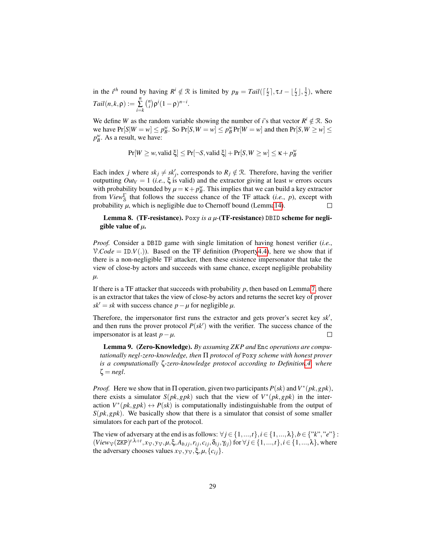in the *i*<sup>th</sup> round by having  $R^i \notin \mathcal{R}$  is limited by  $p_B = Tail([\frac{t}{2}], \tau.t - [\frac{t}{2}], \frac{1}{2})$ , where  $Tail(n, k, \rho) := \sum_{n=1}^{n}$ ∑ *i*=*k*  ${n \choose i} \rho^{i} (1-\rho)^{n-i}$ .

We define *W* as the random variable showing the number of *i*'s that vector  $R^i \notin \mathcal{R}$ . So we have  $Pr[S|W = w] \le p_B^w$ . So  $Pr[S, W = w] \le p_B^w Pr[W = w]$  and then  $Pr[S, W \ge w] \le$  $p_B^w$ . As a result, we have:

$$
Pr[W \geq w, \text{valid } \xi] \leq Pr[\neg S, \text{valid } \xi] + Pr[S, W \geq w] \leq \kappa + p_B^w
$$

Each index *j* where  $sk_j \neq sk'_j$ , corresponds to  $R_j \notin \mathcal{R}$ . Therefore, having the verifier outputting *Out<sup>V</sup>* = 1 (*i.e.*, ξ is valid) and the extractor giving at least *w* errors occurs with probability bounded by  $\mu = \kappa + p_B^w$ . This implies that we can build a key extractor from *View*<sub>S</sub> that follows the success chance of the TF attack (*i.e.*, *p*), except with probability  $\mu$ , which is negligible due to Chernoff bound (Lemm[a14\)](#page-41-1).  $\Box$ 

#### <span id="page-28-0"></span>Lemma 8. (TF-resistance). Poxy *is a µ-*(TF-resistance) DBID scheme for negligible value of *µ*.

*Proof.* Consider a DBID game with single limitation of having honest verifier (*i.e.*,  $\mathcal{V}.\mathcal{C}ode = \text{ID.V}(.)$ . Based on the TF definition (Propert[y4.4\)](#page-19-0), here we show that if there is a non-negligible TF attacker, then these existence impersonator that take the view of close-by actors and succeeds with same chance, except negligible probability *µ*.

If there is a TF attacker that succeeds with probability  $p$ , then based on Lemma [7,](#page-25-0) there is an extractor that takes the view of close-by actors and returns the secret key of prover  $sk' = sk$  with success chance *p* − *µ* for negligible *µ*.

Therefore, the impersonator first runs the extractor and gets prover's secret key  $sk'$ , and then runs the prover protocol  $P(s k')$  with the verifier. The success chance of the impersonator is at least *p*−*µ*.  $\Box$ 

<span id="page-28-1"></span>Lemma 9. (Zero-Knowledge). *By assuming ZKP and* Enc *operations are computationally negl-zero-knowledge, then* Π *protocol of* Poxy *scheme with honest prover is a computationally* ζ*-zero-knowledge protocol according to Definitio[n.4,](#page-41-0) where*  $\zeta = negl$ .

*Proof.* Here we show that in  $\Pi$  operation, given two participants  $P(sk)$  and  $V^*(pk, gpk)$ , there exists a simulator  $S(pk, gpk)$  such that the view of  $V^*(pk, gpk)$  in the interaction  $V^*(pk, gpk) \leftrightarrow P(sk)$  is computationally indistinguishable from the output of *S*(*pk*,*gpk*). We basically show that there is a simulator that consist of some smaller simulators for each part of the protocol.

The view of adversary at the end is as follows:  $\forall j \in \{1, ..., t\}, i \in \{1, ..., \lambda\}, b \in \{``k", "e"\}$ :  $(View_{\mathcal{V}}(\text{ZKP})^{t,\lambda+t}, x_{\mathcal{V}}, y_{\mathcal{V}}, \mu, \xi, A_{b,ij}, r_{ij}, c_{ij}, \delta_{ij}, \gamma_{ij})$  for  $\forall j \in \{1, ..., t\}, i \in \{1, ..., \lambda\}$ , where the adversary chooses values  $x_V$ ,  $y_V$ ,  $\xi$ ,  $\mu$ ,  $\{c_{ij}\}$ .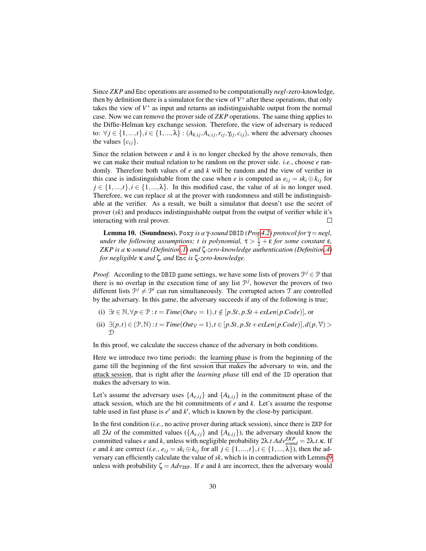Since *ZKP* and Enc operations are assumed to be computationally *negl*-zero-knowledge, then by definition there is a simulator for the view of  $V^*$  after these operations, that only takes the view of  $V^*$  as input and returns an indistinguishable output from the normal case. Now we can remove the prover side of *ZKP* operations. The same thing applies to the Diffie-Helman key exchange session. Therefore, the view of adversary is reduced to:  $\forall j \in \{1, ..., t\}, i \in \{1, ..., \lambda\} : (A_{k,ij}, A_{e,ij}, r_{ij}, \gamma_{ij}, c_{ij})$ , where the adversary chooses the values  $\{c_{ij}\}.$ 

Since the relation between *e* and *k* is no longer checked by the above removals, then we can make their mutual relation to be random on the prover side. *i.e.*, choose *e* randomly. Therefore both values of *e* and *k* will be random and the view of verifier in this case is indistinguishable from the case when *e* is computed as  $e_{ij} = sk_i \oplus k_{ij}$  for  $j \in \{1, ..., t\}, i \in \{1, ..., \lambda\}$ . In this modified case, the value of *sk* is no longer used. Therefore, we can replace *sk* at the prover with randomness and still be indistinguishable at the verifier. As a result, we built a simulator that doesn't use the secret of prover (*sk*) and produces indistinguishable output from the output of verifier while it's interacting with real prover.  $\Box$ 

Lemma 10. (Soundness). Poxy *is a* γ*-sound* DBID *(Pro[p4.2\)](#page-18-0) protocol for* γ = *negl, under the following assumptions; t is polynomial,*  $\tau > \frac{1}{2} + \varepsilon$  *for some constant*  $\varepsilon$ *, ZKP is a* κ*-sound (Definitio[n.1\)](#page-40-8) and* ζ*-zero-knowledge authentication (Definitio[n.4\)](#page-41-0) for negligible* κ *and* ζ*, and* Enc *is* ζ*-zero-knowledge.*

*Proof.* According to the DBID game settings, we have some lists of provers  $\mathcal{P}^j \in \mathcal{P}$  that there is no overlap in the execution time of any list  $\mathcal{P}^j$ , however the provers of two different lists  $\mathcal{P}^j \neq \mathcal{P}^i$  can run simultaneously. The corrupted actors  $\mathcal T$  are controlled by the adversary. In this game, the adversary succeeds if any of the following is true;

- (i) ∃*t* ∈ N,  $\forall p \in \mathcal{P} : t = Time(Out_{\mathcal{V}} = 1), t \notin [p St, p St + exLen(p.Code)],$  or
- (ii)  $\exists (p,t) \in (\mathcal{P}, \mathbb{N}) : t = Time(Out_{\mathcal{V}} = 1), t \in [p St, p St + exLen(p.Code)], d(p, \mathcal{V}) >$  $\mathcal{D}$

In this proof, we calculate the success chance of the adversary in both conditions.

Here we introduce two time periods: the learning phase is from the beginning of the game till the beginning of the first session that makes the adversary to win, and the attack session, that is right after the *learning phase* till end of the ID operation that makes the adversary to win.

Let's assume the adversary uses  $\{A_{e,ij}\}\$  and  $\{A_{k,ij}\}\$  in the commitment phase of the attack session, which are the bit commitments of *e* and *k*. Let's assume the response table used in fast phase is  $e'$  and  $k'$ , which is known by the close-by participant.

In the first condition (*i.e.*, no active prover during attack session), since there is ZKP for all 2λ*t* of the committed values ( ${A_{e,ij}}$  and  ${A_{k,ij}}$ ), the adversary should know the committed values *e* and *k*, unless with negligible probability 2λ.*t*.*Adv*<sup>*ZKP*</sup><sub>*sound*</sub> = 2λ.*t*.κ. If *e* and *k* are correct (*i.e.*,  $e_{ij} = sk_i \oplus k_{ij}$  for all  $j \in \{1, ..., t\}$ ,  $i \in \{1, ..., \lambda\}$ ), then the adversary can efficiently calculate the value of *sk*, which is in contradiction with Lemm[a9](#page-28-1) unless with probability  $\zeta = Adv_{ZKP}$ . If *e* and *k* are incorrect, then the adversary would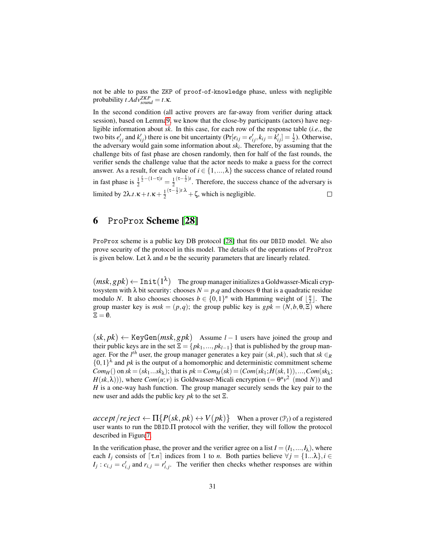not be able to pass the ZKP of proof-of-knowledge phase, unless with negligible  $\text{probability } t \cdot \text{Adv}_{sound}^{\text{ZKP}} = t \cdot \kappa.$ 

In the second condition (all active provers are far-away from verifier during attack session), based on Lemm[a9,](#page-28-1) we know that the close-by participants (actors) have negligible information about *sk*. In this case, for each row of the response table (*i.e.*, the two bits  $e'_{ij}$  and  $k'_{ij}$ ) there is one bit uncertainty (Pr[ $e_{ij} = e'_{ij}$ ,  $k_{ij} = k'_{ij}$ ] =  $\frac{1}{2}$ ). Otherwise, the adversary would gain some information about *sk<sup>i</sup>* . Therefore, by assuming that the challenge bits of fast phase are chosen randomly, then for half of the fast rounds, the verifier sends the challenge value that the actor needs to make a guess for the correct answer. As a result, for each value of  $i \in \{1, ..., \lambda\}$  the success chance of related round  $\frac{t}{2} - (1 - \tau)t = \frac{1}{2}$  $(\tau-\frac{1}{2})t$ . Therefore, the success chance of the adversary is in fast phase is  $\frac{1}{2}$  $(\tau-\frac{1}{2})t.\lambda + \zeta$ , which is negligible. limited by  $2\lambda \cdot t \cdot \kappa + t \cdot \kappa + \frac{1}{2}$  $\Box$ 

## <span id="page-30-0"></span>6 ProProx Scheme [\[28\]](#page-40-2)

ProProx scheme is a public key DB protocol [\[28\]](#page-40-2) that fits our DBID model. We also prove security of the protocol in this model. The details of the operations of ProProx is given below. Let  $\lambda$  and *n* be the security parameters that are linearly related.

 $(msk, gpk) \leftarrow \text{Init}(1^{\lambda})$  The group manager initializes a Goldwasser-Micali cryptosystem with  $\lambda$  bit security: chooses  $N = p.q$  and chooses  $\theta$  that is a quadratic residue modulo *N*. It also chooses chooses  $b \in \{0,1\}^n$  with Hamming weight of  $\lfloor \frac{n}{2} \rfloor$ . The group master key is  $msk = (p,q)$ ; the group public key is  $gpk = (N, b, \theta, \Xi)$  where  $\Xi = \emptyset$ .

 $(k, pk) \leftarrow \text{KeyGen}(msk, gpk)$  Assume *l* − 1 users have joined the group and their public keys are in the set  $\Xi = \{pk_1, ..., pk_{l-1}\}\$  that is published by the group manager. For the  $l^{th}$  user, the group manager generates a key pair  $(sk, pk)$ , such that  $sk \in R$  $\{0,1\}^{\lambda}$  and *pk* is the output of a homomorphic and deterministic commitment scheme  $Com_H()$  on  $sk = (sk_1...sk_\lambda)$ ; that is  $pk = Com_H(sk) = (Com(sk_1; H(sk, 1)), ..., Com(sk_\lambda;$  $H(sk, \lambda))$ , where  $Com(u; v)$  is Goldwasser-Micali encryption (=  $\theta^u v^2 \pmod{N}$ ) and *H* is a one-way hash function. The group manager securely sends the key pair to the new user and adds the public key *pk* to the set Ξ.

 $accept / reject \leftarrow \Pi\{P(sk, pk) \leftrightarrow V(pk)\}$  When a prover  $(\mathcal{P}_l)$  of a registered user wants to run the DBID.Π protocol with the verifier, they will follow the protocol described in Figur[e7.](#page-31-0)

In the verification phase, the prover and the verifier agree on a list  $I = (I_1, ..., I_\lambda)$ , where each *I<sub>j</sub>* consists of  $[\tau.n]$  indices from 1 to *n*. Both parties believe  $\forall j = \{1...\lambda\}, i \in$  $I_j$ :  $c_{i,j} = c'_{i,j}$  and  $r_{i,j} = r'_{i,j}$ . The verifier then checks whether responses are within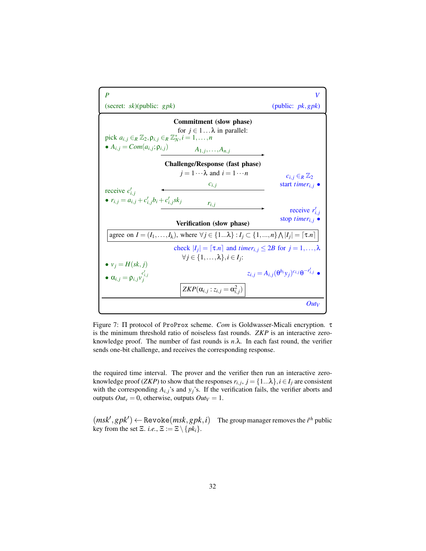<span id="page-31-0"></span>

Figure 7: Π protocol of ProProx scheme. *Com* is Goldwasser-Micali encryption. τ is the minimum threshold ratio of noiseless fast rounds. *ZKP* is an interactive zeroknowledge proof. The number of fast rounds is  $n.\lambda$ . In each fast round, the verifier sends one-bit challenge, and receives the corresponding response.

the required time interval. The prover and the verifier then run an interactive zeroknowledge proof (*ZKP*) to show that the responses  $r_{i,j}$ ,  $j = \{1...\lambda\}$ ,  $i \in I_j$  are consistent with the corresponding  $A_{i,j}$ 's and  $y_j$ 's. If the verification fails, the verifier aborts and outputs  $Out_v = 0$ , otherwise, outputs  $Out_v = 1$ .

 $(msk', gpk') \leftarrow \text{Revol}(msk, gpk, i)$  The group manager removes the *i*<sup>th</sup> public key from the set  $\Xi$ . *i.e.*,  $\Xi := \Xi \setminus \{pk_i\}.$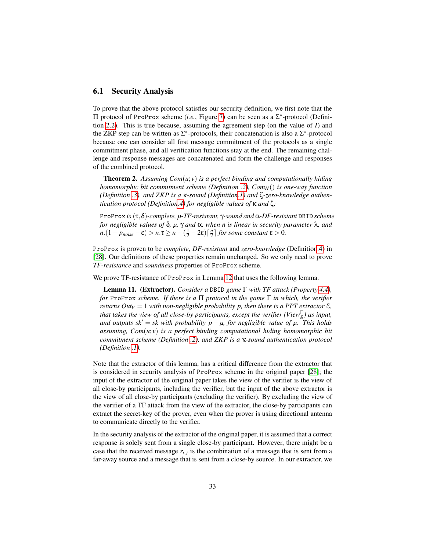#### 6.1 Security Analysis

To prove that the above protocol satisfies our security definition, we first note that the Π protocol of ProProx scheme (*i.e.*, Figure [7\)](#page-31-0) can be seen as a Σ ∗ -protocol (Definition [2.2\)](#page-3-1). This is true because, assuming the agreement step (on the value of *I*) and the ZKP step can be written as  $\Sigma^*$ -protocols, their concatenation is also a  $\Sigma^*$ -protocol because one can consider all first message commitment of the protocols as a single commitment phase, and all verification functions stay at the end. The remaining challenge and response messages are concatenated and form the challenge and responses of the combined protocol.

Theorem 2. *Assuming Com*(*u*; *v*) *is a perfect binding and computationally hiding homomorphic bit commitment scheme (Definition [.2\)](#page-40-9), ComH*() *is one-way function (Definition [.3\)](#page-41-2), and ZKP is a* κ*-sound (Definitio[n.1\)](#page-40-8) and* ζ*-zero-knowledge authentication protocol (Definitio[n.4\)](#page-41-0) for negligible values of* κ *and* ζ*;*

ProProx *is*(τ,δ)*-complete, µ-TF-resistant,* γ*-sound and* α*-DF-resistant* DBID *scheme for negligible values of* δ*, µ,* γ *and* α*, when n is linear in security parameter* λ*, and*  $n.(1-p_{noise} - \varepsilon) > n.\tau \ge n - (\frac{1}{2} - 2\varepsilon) \left\lceil \frac{n}{2} \right\rceil$  *for some constant*  $\varepsilon > 0$ *.* 

ProProx is proven to be *complete*, *DF-resistant* and *zero-knowledge* (Definitio[n.4\)](#page-41-0) in [\[28\]](#page-40-2). Our definitions of these properties remain unchanged. So we only need to prove *TF-resistance* and *soundness* properties of ProProx scheme.

We prove TF-resistance of ProProx in Lemma [12](#page-35-0) that uses the following lemma.

<span id="page-32-0"></span>Lemma 11. (Extractor). *Consider a* DBID *game* Γ *with TF attack (Property [4.4\)](#page-19-0), for* ProProx *scheme. If there is a* Π *protocol in the game* Γ *in which, the verifier returns Out*<sub>*V*</sub> = 1 *with non-negligible probability p, then there is a PPT extractor*  $\mathcal{E}$ *, that takes the view of all close-by participants, except the verifier (View* $^{\Gamma}_{\rm S}$ *) as input, and outputs sk<sup>* $\prime$ *</sup> = <i>sk with probability p –*  $\mu$ *, for negligible value of*  $\mu$ . *This holds assuming, Com*(*u*; *v*) *is a perfect binding computational hiding homomorphic bit commitment scheme (Definition [.2\)](#page-40-9), and ZKP is a* κ*-sound authentication protocol (Definition [.1\)](#page-40-8).*

Note that the extractor of this lemma, has a critical difference from the extractor that is considered in security analysis of ProProx scheme in the original paper [\[28\]](#page-40-2); the input of the extractor of the original paper takes the view of the verifier is the view of all close-by participants, including the verifier, but the input of the above extractor is the view of all close-by participants (excluding the verifier). By excluding the view of the verifier of a TF attack from the view of the extractor, the close-by participants can extract the secret-key of the prover, even when the prover is using directional antenna to communicate directly to the verifier.

In the security analysis of the extractor of the original paper, it is assumed that a correct response is solely sent from a single close-by participant. However, there might be a case that the received message  $r_{i,j}$  is the combination of a message that is sent from a far-away source and a message that is sent from a close-by source. In our extractor, we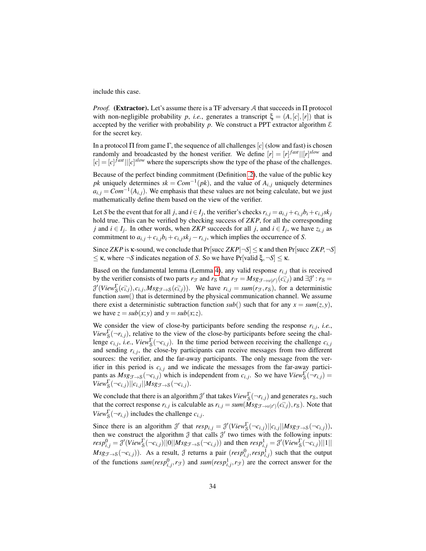include this case.

*Proof.* (Extractor). Let's assume there is a TF adversary A that succeeds in  $\Pi$  protocol with non-negligible probability *p*, *i.e.*, generates a transcript  $\xi = (A, [c], [r])$  that is accepted by the verifier with probability p. We construct a PPT extractor algorithm  $\mathcal E$ for the secret key.

In a protocol Π from game Γ, the sequence of all challenges  $[c]$  (slow and fast) is chosen randomly and broadcasted by the honest verifier. We define  $[r] = [r]^{fast} | [[r]^{slow}$  and  $[c] = [c]$ <sup>*fast*</sup> $||[c]$ <sup>*slow*</sup> where the superscripts show the type of the phase of the challenges.

Because of the perfect binding commitment (Definition [.2\)](#page-40-9), the value of the public key  $pk$  uniquely determines  $sk = Com^{-1}(pk)$ , and the value of  $A_{i,j}$  uniquely determines  $a_{i,j} = Com^{-1}(A_{i,j})$ . We emphasis that these values are not being calculate, but we just mathematically define them based on the view of the verifier.

Let S be the event that for all j, and  $i \in I_j$ , the verifier's checks  $r_{i,j} = a_{i,j} + c_{i,j}b_i + c_{i,j}sk_j$ hold true. This can be verified by checking success of *ZKP*, for all the corresponding *j* and *i* ∈ *I<sub>j</sub>*. In other words, when *ZKP* succeeds for all *j*, and *i* ∈ *I<sub>j</sub>*, we have  $z_{i,j}$  as commitment to  $a_{i,j} + c_{i,j}b_i + c_{i,j}sk_j - r_{i,j}$ , which implies the occurrence of *S*.

Since *ZKP* is  $\kappa$ -sound, we conclude that  $Pr[\text{succ } ZKP | \neg S] \leq \kappa$  and then  $Pr[\text{succ } ZKP, \neg S]$  $\leq$  κ, where  $\neg$ *S* indicates negation of *S*. So we have Pr[valid ξ,  $\neg$ *S*]  $\leq$  κ.

Based on the fundamental lemma (Lemma [4\)](#page-20-1), any valid response  $r_{i,j}$  that is received by the verifier consists of two parts  $r_F$  and  $r_S$  that  $r_F = Msg_{\mathcal{F} \to \nu(t')}(c_{i,j}^{\dagger})$  and  $\exists \mathcal{J}' : r_S =$  $\partial^{'}(View^{\Gamma}_{\mathcal{S}}(c_{i,j}^{-}), c_{i,j}, Msg_{\mathcal{F}\rightarrow\mathcal{S}}(c_{i,j}^{-}))$ . We have  $r_{i,j} = sum(r_{\mathcal{F}}, r_{\mathcal{S}})$ , for a deterministic function *sum*() that is determined by the physical communication channel. We assume there exist a deterministic subtraction function  $sub()$  such that for any  $x = sum(z, y)$ , we have  $z = sub(x; y)$  and  $y = sub(x; z)$ .

We consider the view of close-by participants before sending the response  $r_{i,j}$ , *i.e.*, *View*<sub>S</sub> $(\neg r_{i,j})$ , relative to the view of the close-by participants before seeing the challenge  $c_{i,j}$ , *i.e.*,  $View_{\mathcal{S}}^{\Gamma}(\neg c_{i,j})$ . In the time period between receiving the challenge  $c_{i,j}$ and sending  $r_{i,j}$ , the close-by participants can receive messages from two different sources: the verifier, and the far-away participants. The only message from the verifier in this period is  $c_{i,j}$  and we indicate the messages from the far-away participants as  $Msg_{\mathcal{F}\to\mathcal{S}}(\neg c_{i,j})$  which is independent from  $c_{i,j}$ . So we have  $View_{\mathcal{S}}^{\Gamma}(\neg r_{i,j})$  =  $View_{\mathcal{S}}^{\Gamma}(\neg c_{i,j})||c_{i,j}||Msg_{\mathcal{F}\rightarrow\mathcal{S}}(\neg c_{i,j}).$ 

We conclude that there is an algorithm  $\mathcal{J}'$  that takes  $View^{\Gamma}_{\mathcal{S}}(\neg r_{i,j})$  and generates  $r_{\mathcal{S}}$ , such that the correct response  $r_{i,j}$  is calculable as  $r_{i,j} = \text{sum}(\hat{M} s g_{\hat{\mathcal{F}} \to v(t')}(c_{i,j}^{-}), r_s)$ . Note that *View*<sup> $\Gamma$ </sup><sub>S</sub> $(\neg r_{i,j})$  includes the challenge *c*<sub>*i*, *j*</sub>.

Since there is an algorithm  $\mathcal{J}'$  that  $resp_{i,j} = \mathcal{J}'(View_{\mathcal{S}}^{\Gamma}(\neg c_{i,j})||c_{i,j}||Msg_{\mathcal{F}\rightarrow\mathcal{S}}(\neg c_{i,j}))$ , then we construct the algorithm  $\mathcal J$  that calls  $\mathcal J'$  two times with the following inputs:  $resp_{i,j}^0 = \mathcal{J}'(View_S^{\Gamma}(\neg c_{i,j})||0||Msg_{\mathcal{F}\rightarrow S}(\neg c_{i,j}))$  and then  $resp_{i,j}^1 = \mathcal{J}'(View_S^{\Gamma}(\neg c_{i,j})||1||)$  $Msg_{\mathcal{F}\to\mathcal{S}}(\neg c_{i,j})$ ). As a result,  $\mathcal{J}$  returns a pair  $(resp_{i,j}^0, resp_{i,j}^1)$  such that the output of the functions  $sum(resp_{i,j}^0, r_{\mathcal{F}})$  and  $sum(resp_{i,j}^1, r_{\mathcal{F}})$  are the correct answer for the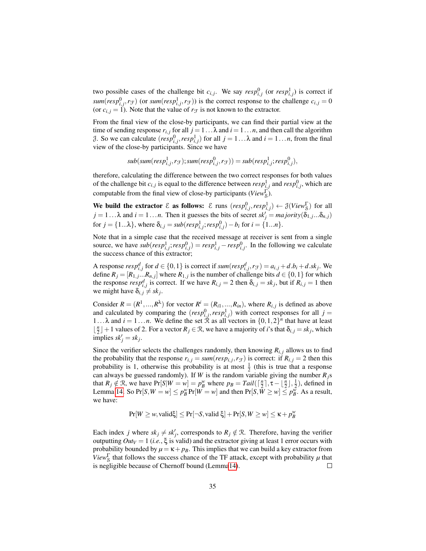two possible cases of the challenge bit  $c_{i,j}$ . We say  $resp_{i,j}^0$  (or  $resp_{i,j}^1$ ) is correct if  $sum(resp_{i,j}^0, r_{\mathcal{F}})$  (or  $sum(resp_{i,j}^1, r_{\mathcal{F}})$ ) is the correct response to the challenge  $c_{i,j} = 0$ (or  $c_{i,j} = 1$ ). Note that the value of  $r_{\mathcal{F}}$  is not known to the extractor.

From the final view of the close-by participants, we can find their partial view at the time of sending response  $r_{i,j}$  for all  $j = 1 \dots \lambda$  and  $i = 1 \dots n$ , and then call the algorithm *j*. So we can calculate  $(resp_{i,j}^0, resp_{i,j}^1)$  for all  $j = 1...λ$  and  $i = 1...n$ , from the final view of the close-by participants. Since we have

$$
sub(sum(respi,j1, r\mathcal{F}); sum(respi,j0, r\mathcal{F})) = sub(respi,j1; respi,j0),
$$

therefore, calculating the difference between the two correct responses for both values of the challenge bit  $c_{i,j}$  is equal to the difference between  $resp_{i,j}^1$  and  $resp_{i,j}^0$ , which are computable from the final view of close-by participants (*View*<sub>S</sub><sup>T</sup>).

We build the extractor  $\mathcal E$  as follows:  $\mathcal E$  runs  $(resp_{i,j}^0, resp_{i,j}^1) \leftarrow \mathcal J(View_8^{\Gamma})$  for all  $j = 1... \lambda$  and  $i = 1...n$ . Then it guesses the bits of secret  $sk'_j = majority(\delta_{1,j}... \delta_{n,j})$ for  $j = \{1...\lambda\}$ , where  $\delta_{i,j} = sub(resp_{i,j}^1; resp_{i,j}^0) - b_i$  for  $i = \{1...n\}$ .

Note that in a simple case that the received message at receiver is sent from a single source, we have  $sub(resp_{i,j}^1; resp_{i,j}^0) = resp_{i,j}^1 - resp_{i,j}^0$ . In the following we calculate the success chance of this extractor;

A response  $resp_{i,j}^d$  for  $d \in \{0,1\}$  is correct if  $sum(resp_{i,j}^d, r_{\mathcal{F}}) = a_{i,j} + d.b_i + d.sk_j$ . We define  $R_j = [R_{1,j} \dots R_{n,j}]$  where  $R_{1,j}$  is the number of challenge bits  $d \in \{0,1\}$  for which the response  $resp_{i,j}^d$  is correct. If we have  $R_{i,j} = 2$  then  $\delta_{i,j} = sk_j$ , but if  $R_{i,j} = 1$  then we might have  $\delta_{i,j} \neq sk_j$ .

Consider  $R = (R^1, ..., R^{\lambda})$  for vector  $R^i = (R_{i1}, ..., R_{in})$ , where  $R_{i,j}$  is defined as above and calculated by comparing the  $(resp_{i,j}^0, resp_{i,j}^1)$  with correct responses for all  $j =$ 1... $\lambda$  and  $i = 1...n$ . We define the set  $\mathbb{\hat{R}}$  as all vectors in  $\{0,1,2\}^n$  that have at least  $\lfloor \frac{n}{2} \rfloor + 1$  values of 2. For a vector  $R_j \in \mathcal{R}$ , we have a majority of *i*'s that  $\delta_{i,j} = sk_j$ , which  $\text{implies } sk_j' = sk_j.$ 

Since the verifier selects the challenges randomly, then knowing  $R_{i,j}$  allows us to find the probability that the response  $r_{i,j} = \text{sum}(\text{resp}_{i,j}, r_{\mathcal{F}})$  is correct: if  $R_{i,j} = 2$  then this probability is 1, otherwise this probability is at most  $\frac{1}{2}$  (this is true that a response can always be guessed randomly). If *W* is the random variable giving the number  $R_j$ s that  $R_j \notin \mathcal{R}$ , we have  $Pr[S|W = w] = p_B^w$  where  $p_B = Tail(\lceil \frac{n}{2} \rceil, \tau - \lfloor \frac{n}{2} \rfloor, \frac{1}{2})$ , defined in Lemma [14.](#page-41-1) So  $Pr[S, W = w] \le p_B^w Pr[W = w]$  and then  $Pr[S, \overline{W} \ge w] \le p_B^w$ . As a result, we have:

$$
Pr[W \geq w, \text{valid\xi}] \leq Pr[\neg S, \text{valid}\,\xi] + Pr[S, W \geq w] \leq \kappa + p_B^w
$$

Each index *j* where  $sk_j \neq sk'_j$ , corresponds to  $R_j \notin \mathcal{R}$ . Therefore, having the verifier outputting  $Out_V = 1$  (*i.e.*,  $\xi$  is valid) and the extractor giving at least 1 error occurs with probability bounded by  $\mu = \kappa + p_B$ . This implies that we can build a key extractor from *View*<sup> $\Gamma$ </sup> that follows the success chance of the TF attack, except with probability  $\mu$  that is negligible because of Chernoff bound (Lemm[a14\)](#page-41-1).  $\Box$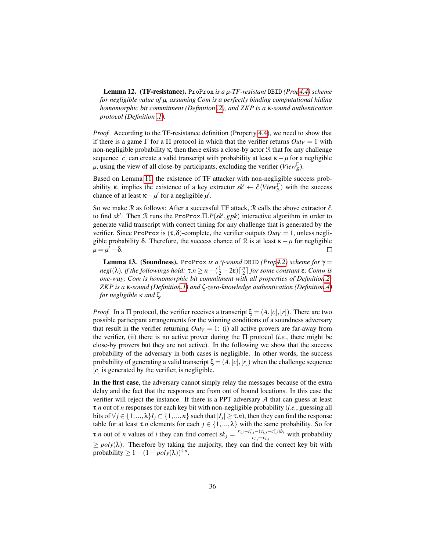<span id="page-35-0"></span>Lemma 12. (TF-resistance). ProProx *is a µ-TF-resistant* DBID *(Pro[p4.4\)](#page-19-0) scheme for negligible value of µ, assuming Com is a perfectly binding computational hiding homomorphic bit commitment (Definition [.2\)](#page-40-9), and ZKP is a* κ*-sound authentication protocol (Definition [.1\)](#page-40-8).*

*Proof.* According to the TF-resistance definition (Property [4.4\)](#page-19-0), we need to show that if there is a game  $\Gamma$  for a  $\Pi$  protocol in which that the verifier returns  $Out_V = 1$  with non-negligible probability κ, then there exists a close-by actor  $R$  that for any challenge sequence [*c*] can create a valid transcript with probability at least  $\kappa - \mu$  for a negligible  $\mu$ , using the view of all close-by participants, excluding the verifier (*View*<sub>S</sub><sup>)</sup>.

Based on Lemma [11,](#page-32-0) the existence of TF attacker with non-negligible success probability **κ**, implies the existence of a key extractor  $sk' \leftarrow \mathcal{E}(View_S^{\Gamma})$  with the success chance of at least  $\kappa - \mu'$  for a negligible  $\mu'$ .

So we make  $\Re$  as follows: After a successful TF attack,  $\Re$  calls the above extractor  $\mathcal E$ to find  $sk'$ . Then  $\Re$  runs the ProProx.  $\Pi$ .  $P(sk', ghk)$  interactive algorithm in order to generate valid transcript with correct timing for any challenge that is generated by the verifier. Since ProProx is  $(\tau, \delta)$ -complete, the verifier outputs  $Out_V = 1$ , unless negligible probability δ. Therefore, the success chance of  $R$  is at least  $κ - μ$  for negligible  $\mu = \mu' - \delta$ .  $\Box$ 

Lemma 13. (Soundness). ProProx *is a* γ*-sound* DBID *(Pro[p4.2\)](#page-18-0) scheme for* γ = *negl*( $\lambda$ )*, if the followings hold:*  $\tau.n \geq n - (\frac{1}{2} - 2\varepsilon) \lceil \frac{n}{2} \rceil$  *for some constant*  $\varepsilon$ *; Com<sub>H</sub> is one-way; Com is homomorphic bit commitment with all properties of Definitio[n.2;](#page-40-9) ZKP is a* κ*-sound (Definitio[n.1\)](#page-40-8) and* ζ*-zero-knowledge authentication (Definitio[n.4\)](#page-41-0) for negligible* κ *and* ζ*.*

*Proof.* In a  $\Pi$  protocol, the verifier receives a transcript  $\xi = (A, [c], [r])$ . There are two possible participant arrangements for the winning conditions of a soundness adversary that result in the verifier returning  $Out_V = 1$ : (i) all active provers are far-away from the verifier, (ii) there is no active prover during the Π protocol (*i.e.*, there might be close-by provers but they are not active). In the following we show that the success probability of the adversary in both cases is negligible. In other words, the success probability of generating a valid transcript  $\xi = (A, [c], [r])$  when the challenge sequence [*c*] is generated by the verifier, is negligible.

In the first case, the adversary cannot simply relay the messages because of the extra delay and the fact that the responses are from out of bound locations. In this case the verifier will reject the instance. If there is a PPT adversary A that can guess at least τ.*n* out of *n* responses for each key bit with non-negligible probability (*i.e.*, guessing all bits of  $\forall j \in \{1, ..., \lambda\}$ *I*<sub>*j*</sub>  $\subset \{1, ..., n\}$  such that  $|I_j| \geq \tau.n$ , then they can find the response table for at least  $\tau.n$  elements for each  $j \in \{1,..., \lambda\}$  with the same probability. So for  $\tau$ *n* out of *n* values of *i* they can find correct  $sk_j = \frac{r_{i,j} - r_{i,j}^2 - (c_{i,j} - c_{i,j}^2) b_i}{c_i^2 + c_i^2}$  $\frac{f_j - (c_{i,j} - c_{i,j})\omega_i}{c_{i,j} - c_{i,j}^2}$  with probability  $\geq$  *poly*( $\lambda$ ). Therefore by taking the majority, they can find the correct key bit with probability  $\geq 1 - (1 - poly(\lambda))^{\tau.n}$ .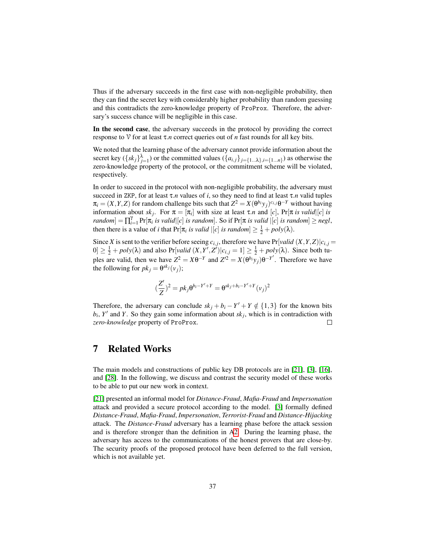Thus if the adversary succeeds in the first case with non-negligible probability, then they can find the secret key with considerably higher probability than random guessing and this contradicts the zero-knowledge property of ProProx. Therefore, the adversary's success chance will be negligible in this case.

In the second case, the adversary succeeds in the protocol by providing the correct response to V for at least τ.*n* correct queries out of *n* fast rounds for all key bits.

We noted that the learning phase of the adversary cannot provide information about the secret key  $(\{sk_j\}_{j=1}^{\lambda})$  or the committed values  $(\{a_{i,j}\}_{j=\{1...\lambda\}, i=\{1...n\}})$  as otherwise the zero-knowledge property of the protocol, or the commitment scheme will be violated, respectively.

In order to succeed in the protocol with non-negligible probability, the adversary must succeed in ZKP, for at least  $\tau.n$  values of *i*, so they need to find at least  $\tau.n$  valid tuples  $\pi_i = (X, Y, Z)$  for random challenge bits such that  $Z^2 = X(\theta^{b_i} y_j)^{c_{i,j}} \theta^{-Y}$  without having information about  $sk_j$ . For  $\pi = [\pi_i]$  with size at least  $\tau.n$  and  $[c]$ ,  $Pr[\pi \text{ is valid}][c]$  is  $r$ *andom*] =  $\prod_{i=1}^{n} Pr[\pi_i]$  *is valid*  $|c|$  *is random*]. So if  $Pr[\pi]$  *is valid*  $|c|$  *is random*]  $\geq$  *negl*, then there is a value of *i* that  $Pr[\pi_i \text{ is valid} | [c] \text{ is random}] \geq \frac{1}{2} + \text{poly}(\lambda)$ .

Since *X* is sent to the verifier before seeing  $c_{i,j}$ , therefore we have  $Pr[valid(X, Y, Z)|c_{i,j}$  $0 \leq \frac{1}{2} + \text{poly}(\lambda)$  and also Pr[*valid*  $(X, Y', Z') | c_{i,j} = 1 \leq \frac{1}{2} + \text{poly}(\lambda)$ . Since both tuples are valid, then we have  $Z^2 = X\theta^{-Y}$  and  $Z^{i2} = X(\theta^{b_i}y_j)\theta^{-Y'}$ . Therefore we have the following for  $pk_j = \theta^{sk_j}(v_j)$ ;

$$
(\frac{Z'}{Z})^2 = pk_j \theta^{b_i - Y' + Y} = \theta^{sk_j + b_i - Y' + Y} (v_j)^2
$$

Therefore, the adversary can conclude  $sk_j + b_i - Y' + Y \notin \{1,3\}$  for the known bits  $b_i$ ,  $Y'$  and  $Y$ . So they gain some information about  $sk_j$ , which is in contradiction with *zero-knowledge* property of ProProx.  $\Box$ 

# <span id="page-36-0"></span>7 Related Works

The main models and constructions of public key DB protocols are in [\[21\]](#page-40-10), [\[3\]](#page-38-0), [\[16\]](#page-39-7), and [\[28\]](#page-40-2). In the following, we discuss and contrast the security model of these works to be able to put our new work in context.

[\[21\]](#page-40-10) presented an informal model for *Distance-Fraud*, *Mafia-Fraud* and *Impersonation* attack and provided a secure protocol according to the model. [\[3\]](#page-38-0) formally defined *Distance-Fraud*, *Mafia-Fraud*, *Impersonation*, *Terrorist-Fraud* and *Distance-Hijacking* attack. The *Distance-Fraud* adversary has a learning phase before the attack session and is therefore stronger than the definition in [A2.](#page-1-1) During the learning phase, the adversary has access to the communications of the honest provers that are close-by. The security proofs of the proposed protocol have been deferred to the full version, which is not available yet.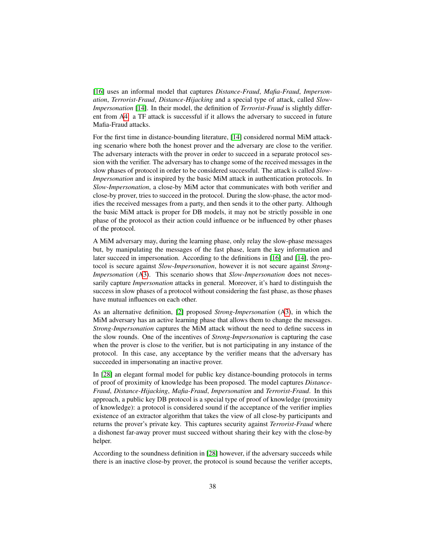[\[16\]](#page-39-7) uses an informal model that captures *Distance-Fraud*, *Mafia-Fraud*, *Impersonation*, *Terrorist-Fraud*, *Distance-Hijacking* and a special type of attack, called *Slow-Impersonation* [\[14\]](#page-39-12). In their model, the definition of *Terrorist-Fraud* is slightly different from [A4:](#page-1-0) a TF attack is successful if it allows the adversary to succeed in future Mafia-Fraud attacks.

For the first time in distance-bounding literature, [\[14\]](#page-39-12) considered normal MiM attacking scenario where both the honest prover and the adversary are close to the verifier. The adversary interacts with the prover in order to succeed in a separate protocol session with the verifier. The adversary has to change some of the received messages in the slow phases of protocol in order to be considered successful. The attack is called *Slow-Impersonation* and is inspired by the basic MiM attack in authentication protocols. In *Slow-Impersonation*, a close-by MiM actor that communicates with both verifier and close-by prover, tries to succeed in the protocol. During the slow-phase, the actor modifies the received messages from a party, and then sends it to the other party. Although the basic MiM attack is proper for DB models, it may not be strictly possible in one phase of the protocol as their action could influence or be influenced by other phases of the protocol.

A MiM adversary may, during the learning phase, only relay the slow-phase messages but, by manipulating the messages of the fast phase, learn the key information and later succeed in impersonation. According to the definitions in [\[16\]](#page-39-7) and [\[14\]](#page-39-12), the protocol is secure against *Slow-Impersonation*, however it is not secure against *Strong-Impersonation* ([A3\)](#page-1-2). This scenario shows that *Slow-Impersonation* does not necessarily capture *Impersonation* attacks in general. Moreover, it's hard to distinguish the success in slow phases of a protocol without considering the fast phase, as those phases have mutual influences on each other.

As an alternative definition, [\[2\]](#page-38-1) proposed *Strong-Impersonation* ([A3\)](#page-1-2), in which the MiM adversary has an active learning phase that allows them to change the messages. *Strong-Impersonation* captures the MiM attack without the need to define success in the slow rounds. One of the incentives of *Strong-Impersonation* is capturing the case when the prover is close to the verifier, but is not participating in any instance of the protocol. In this case, any acceptance by the verifier means that the adversary has succeeded in impersonating an inactive prover.

In [\[28\]](#page-40-2) an elegant formal model for public key distance-bounding protocols in terms of proof of proximity of knowledge has been proposed. The model captures *Distance-Fraud*, *Distance-Hijacking*, *Mafia-Fraud*, *Impersonation* and *Terrorist-Fraud*. In this approach, a public key DB protocol is a special type of proof of knowledge (proximity of knowledge): a protocol is considered sound if the acceptance of the verifier implies existence of an extractor algorithm that takes the view of all close-by participants and returns the prover's private key. This captures security against *Terrorist-Fraud* where a dishonest far-away prover must succeed without sharing their key with the close-by helper.

According to the soundness definition in [\[28\]](#page-40-2) however, if the adversary succeeds while there is an inactive close-by prover, the protocol is sound because the verifier accepts,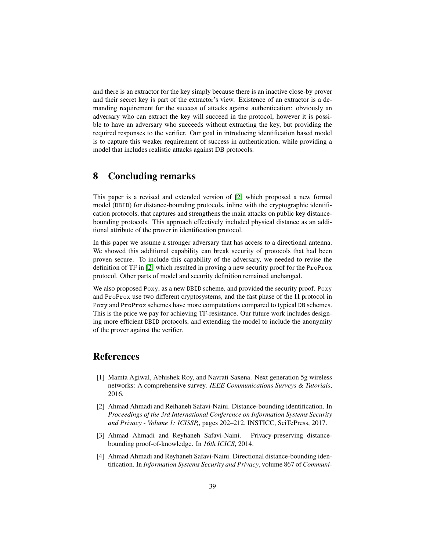and there is an extractor for the key simply because there is an inactive close-by prover and their secret key is part of the extractor's view. Existence of an extractor is a demanding requirement for the success of attacks against authentication: obviously an adversary who can extract the key will succeed in the protocol, however it is possible to have an adversary who succeeds without extracting the key, but providing the required responses to the verifier. Our goal in introducing identification based model is to capture this weaker requirement of success in authentication, while providing a model that includes realistic attacks against DB protocols.

## <span id="page-38-4"></span>8 Concluding remarks

This paper is a revised and extended version of [\[2\]](#page-38-1) which proposed a new formal model (DBID) for distance-bounding protocols, inline with the cryptographic identification protocols, that captures and strengthens the main attacks on public key distancebounding protocols. This approach effectively included physical distance as an additional attribute of the prover in identification protocol.

In this paper we assume a stronger adversary that has access to a directional antenna. We showed this additional capability can break security of protocols that had been proven secure. To include this capability of the adversary, we needed to revise the definition of TF in [\[2\]](#page-38-1) which resulted in proving a new security proof for the ProProx protocol. Other parts of model and security definition remained unchanged.

We also proposed Poxy, as a new DBID scheme, and provided the security proof. Poxy and ProProx use two different cryptosystems, and the fast phase of the Π protocol in Poxy and ProProx schemes have more computations compared to typical DB schemes. This is the price we pay for achieving TF-resistance. Our future work includes designing more efficient DBID protocols, and extending the model to include the anonymity of the prover against the verifier.

## References

- <span id="page-38-2"></span>[1] Mamta Agiwal, Abhishek Roy, and Navrati Saxena. Next generation 5g wireless networks: A comprehensive survey. *IEEE Communications Surveys & Tutorials*, 2016.
- <span id="page-38-1"></span>[2] Ahmad Ahmadi and Reihaneh Safavi-Naini. Distance-bounding identification. In *Proceedings of the 3rd International Conference on Information Systems Security and Privacy - Volume 1: ICISSP,*, pages 202–212. INSTICC, SciTePress, 2017.
- <span id="page-38-0"></span>[3] Ahmad Ahmadi and Reyhaneh Safavi-Naini. Privacy-preserving distancebounding proof-of-knowledge. In *16th ICICS*, 2014.
- <span id="page-38-3"></span>[4] Ahmad Ahmadi and Reyhaneh Safavi-Naini. Directional distance-bounding identification. In *Information Systems Security and Privacy*, volume 867 of *Communi-*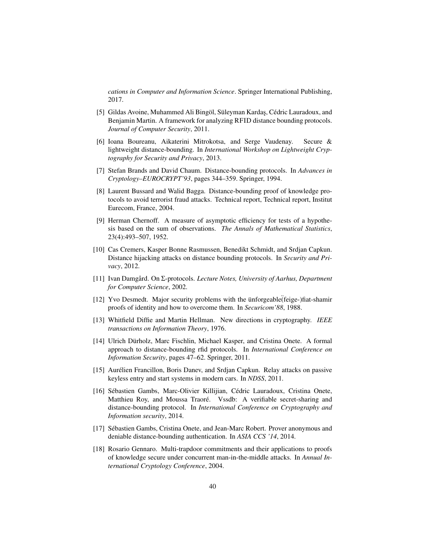*cations in Computer and Information Science*. Springer International Publishing, 2017.

- <span id="page-39-10"></span>[5] Gildas Avoine, Muhammed Ali Bingöl, Süleyman Kardaş, Cédric Lauradoux, and Benjamin Martin. A framework for analyzing RFID distance bounding protocols. *Journal of Computer Security*, 2011.
- <span id="page-39-1"></span>[6] Ioana Boureanu, Aikaterini Mitrokotsa, and Serge Vaudenay. Secure & lightweight distance-bounding. In *International Workshop on Lightweight Cryptography for Security and Privacy*, 2013.
- <span id="page-39-4"></span>[7] Stefan Brands and David Chaum. Distance-bounding protocols. In *Advances in Cryptology–EUROCRYPT'93*, pages 344–359. Springer, 1994.
- <span id="page-39-5"></span>[8] Laurent Bussard and Walid Bagga. Distance-bounding proof of knowledge protocols to avoid terrorist fraud attacks. Technical report, Technical report, Institut Eurecom, France, 2004.
- <span id="page-39-13"></span>[9] Herman Chernoff. A measure of asymptotic efficiency for tests of a hypothesis based on the sum of observations. *The Annals of Mathematical Statistics*, 23(4):493–507, 1952.
- <span id="page-39-3"></span>[10] Cas Cremers, Kasper Bonne Rasmussen, Benedikt Schmidt, and Srdjan Capkun. Distance hijacking attacks on distance bounding protocols. In *Security and Privacy*, 2012.
- <span id="page-39-8"></span>[11] Ivan Damgård. On Σ-protocols. *Lecture Notes, University of Aarhus, Department for Computer Science*, 2002.
- <span id="page-39-0"></span>[12] Yvo Desmedt. Major security problems with the ünforgeable (feige-)fiat-shamir proofs of identity and how to overcome them. In *Securicom'88*, 1988.
- <span id="page-39-11"></span>[13] Whitfield Diffie and Martin Hellman. New directions in cryptography. *IEEE transactions on Information Theory*, 1976.
- <span id="page-39-12"></span>[14] Ulrich Dürholz, Marc Fischlin, Michael Kasper, and Cristina Onete. A formal approach to distance-bounding rfid protocols. In *International Conference on Information Security*, pages 47–62. Springer, 2011.
- <span id="page-39-2"></span>[15] Aurélien Francillon, Boris Danev, and Srdjan Capkun. Relay attacks on passive keyless entry and start systems in modern cars. In *NDSS*, 2011.
- <span id="page-39-7"></span>[16] Sébastien Gambs, Marc-Olivier Killijian, Cédric Lauradoux, Cristina Onete, Matthieu Roy, and Moussa Traoré. Vssdb: A verifiable secret-sharing and distance-bounding protocol. In *International Conference on Cryptography and Information security*, 2014.
- <span id="page-39-6"></span>[17] Sébastien Gambs, Cristina Onete, and Jean-Marc Robert. Prover anonymous and deniable distance-bounding authentication. In *ASIA CCS '14*, 2014.
- <span id="page-39-9"></span>[18] Rosario Gennaro. Multi-trapdoor commitments and their applications to proofs of knowledge secure under concurrent man-in-the-middle attacks. In *Annual International Cryptology Conference*, 2004.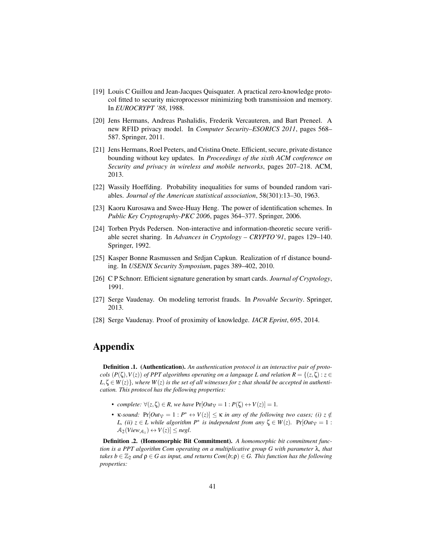- <span id="page-40-5"></span>[19] Louis C Guillou and Jean-Jacques Quisquater. A practical zero-knowledge protocol fitted to security microprocessor minimizing both transmission and memory. In *EUROCRYPT '88*, 1988.
- <span id="page-40-1"></span>[20] Jens Hermans, Andreas Pashalidis, Frederik Vercauteren, and Bart Preneel. A new RFID privacy model. In *Computer Security–ESORICS 2011*, pages 568– 587. Springer, 2011.
- <span id="page-40-10"></span>[21] Jens Hermans, Roel Peeters, and Cristina Onete. Efficient, secure, private distance bounding without key updates. In *Proceedings of the sixth ACM conference on Security and privacy in wireless and mobile networks*, pages 207–218. ACM, 2013.
- <span id="page-40-11"></span>[22] Wassily Hoeffding. Probability inequalities for sums of bounded random variables. *Journal of the American statistical association*, 58(301):13–30, 1963.
- <span id="page-40-4"></span>[23] Kaoru Kurosawa and Swee-Huay Heng. The power of identification schemes. In *Public Key Cryptography-PKC 2006*, pages 364–377. Springer, 2006.
- <span id="page-40-7"></span>[24] Torben Pryds Pedersen. Non-interactive and information-theoretic secure verifiable secret sharing. In *Advances in Cryptology – CRYPTO'91*, pages 129–140. Springer, 1992.
- <span id="page-40-0"></span>[25] Kasper Bonne Rasmussen and Srdjan Capkun. Realization of rf distance bounding. In *USENIX Security Symposium*, pages 389–402, 2010.
- <span id="page-40-6"></span>[26] C P Schnorr. Efficient signature generation by smart cards. *Journal of Cryptology*, 1991.
- <span id="page-40-3"></span>[27] Serge Vaudenay. On modeling terrorist frauds. In *Provable Security*. Springer, 2013.
- <span id="page-40-2"></span>[28] Serge Vaudenay. Proof of proximity of knowledge. *IACR Eprint*, 695, 2014.

# Appendix

<span id="page-40-8"></span>**Definition .1.** (Authentication). An authentication protocol is an interactive pair of proto*cols*  $(P(\zeta), V(z))$  *of PPT algorithms operating on a language L and relation*  $R = \{(z, \zeta) : z \in$  $L, \zeta \in W(z)$ , where  $W(z)$  is the set of all witnesses for z that should be accepted in authenti*cation. This protocol has the following properties:*

- *complete:*  $\forall (z, \zeta) \in R$ *, we have*  $Pr[Out_{\gamma} = 1 : P(\zeta) \leftrightarrow V(z)] = 1$ *.*
- **•** *K-sound:*  $Pr[Out_{V} = 1 : P^* \leftrightarrow V(z)] \leq \kappa$  *in any of the following two cases; (i)*  $z \notin$ *L,* (*ii*)  $z \in L$  *while algorithm*  $P^*$  *is independent from any*  $\zeta \in W(z)$ *.* Pr[*Out*<sub>V</sub> = 1 :  $\mathcal{A}_2(View_{\mathcal{A}_1}) \leftrightarrow V(z)] \leq negl.$

<span id="page-40-9"></span>Definition .2. (Homomorphic Bit Commitment). *A homomorphic bit commitment function is a PPT algorithm Com operating on a multiplicative group G with parameter* λ*, that takes*  $b \in \mathbb{Z}_2$  *and*  $\rho \in G$  *as input, and returns Com*(*b*;  $\rho$ )  $\in G$ . This function has the following *properties:*